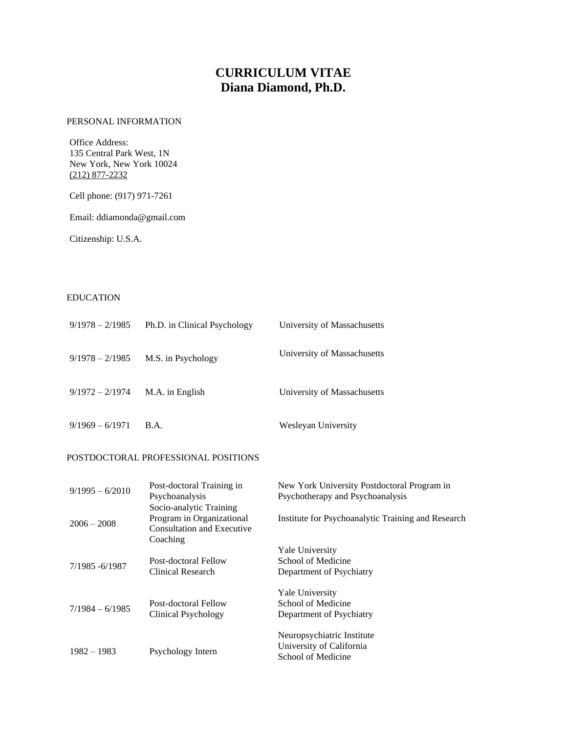# **CURRICULUM VITAE Diana Diamond, Ph.D.**

# PERSONAL INFORMATION

Office Address: 135 Central Park West, 1N New York, New York 10024 (212) 877-2232

Cell phone: (917) 971-7261

Email: ddiamonda@gmail.com

Citizenship: U.S.A.

# EDUCATION

| $9/1978 - 2/1985$ | Ph.D. in Clinical Psychology | University of Massachusetts |
|-------------------|------------------------------|-----------------------------|
| $9/1978 - 2/1985$ | M.S. in Psychology           | University of Massachusetts |
| $9/1972 - 2/1974$ | M.A. in English              | University of Massachusetts |
| $9/1969 - 6/1971$ | B.A.                         | Wesleyan University         |

#### POSTDOCTORAL PROFESSIONAL POSITIONS

| $9/1995 - 6/2010$ | Post-doctoral Training in<br>Psychoanalysis                                                           | New York University Postdoctoral Program in<br>Psychotherapy and Psychoanalysis |
|-------------------|-------------------------------------------------------------------------------------------------------|---------------------------------------------------------------------------------|
| $2006 - 2008$     | Socio-analytic Training<br>Program in Organizational<br><b>Consultation and Executive</b><br>Coaching | Institute for Psychoanalytic Training and Research                              |
| 7/1985 - 6/1987   | Post-doctoral Fellow<br>Clinical Research                                                             | <b>Yale University</b><br>School of Medicine<br>Department of Psychiatry        |
| $7/1984 - 6/1985$ | Post-doctoral Fellow<br>Clinical Psychology                                                           | <b>Yale University</b><br>School of Medicine<br>Department of Psychiatry        |
| $1982 - 1983$     | Psychology Intern                                                                                     | Neuropsychiatric Institute<br>University of California<br>School of Medicine    |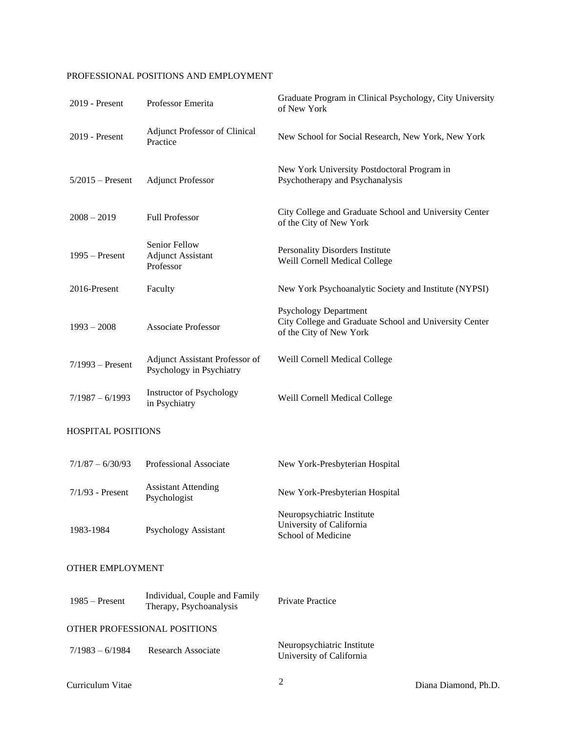# PROFESSIONAL POSITIONS AND EMPLOYMENT

| 2019 - Present            | Professor Emerita                                          | Graduate Program in Clinical Psychology, City University<br>of New York                                           |
|---------------------------|------------------------------------------------------------|-------------------------------------------------------------------------------------------------------------------|
| 2019 - Present            | <b>Adjunct Professor of Clinical</b><br>Practice           | New School for Social Research, New York, New York                                                                |
| $5/2015$ – Present        | <b>Adjunct Professor</b>                                   | New York University Postdoctoral Program in<br>Psychotherapy and Psychanalysis                                    |
| $2008 - 2019$             | <b>Full Professor</b>                                      | City College and Graduate School and University Center<br>of the City of New York                                 |
| $1995 -$ Present          | Senior Fellow<br><b>Adjunct Assistant</b><br>Professor     | Personality Disorders Institute<br>Weill Cornell Medical College                                                  |
| 2016-Present              | Faculty                                                    | New York Psychoanalytic Society and Institute (NYPSI)                                                             |
| $1993 - 2008$             | <b>Associate Professor</b>                                 | <b>Psychology Department</b><br>City College and Graduate School and University Center<br>of the City of New York |
| $7/1993$ – Present        | Adjunct Assistant Professor of<br>Psychology in Psychiatry | Weill Cornell Medical College                                                                                     |
| $7/1987 - 6/1993$         | <b>Instructor of Psychology</b><br>in Psychiatry           | Weill Cornell Medical College                                                                                     |
| <b>HOSPITAL POSITIONS</b> |                                                            |                                                                                                                   |
| $7/1/87 - 6/30/93$        | Professional Associate                                     | New York-Presbyterian Hospital                                                                                    |
| $7/1/93$ - Present        | <b>Assistant Attending</b><br>Psychologist                 | New York-Presbyterian Hospital                                                                                    |
|                           |                                                            | Neuropsychiatric Institute                                                                                        |

# OTHER EMPLOYMENT

1983-1984 Psychology Assistant

| $1985 -$ Present  | Individual, Couple and Family<br>Therapy, Psychoanalysis | <b>Private Practice</b>                                |
|-------------------|----------------------------------------------------------|--------------------------------------------------------|
|                   | OTHER PROFESSIONAL POSITIONS                             |                                                        |
| $7/1983 - 6/1984$ | Research Associate                                       | Neuropsychiatric Institute<br>University of California |

University of California School of Medicine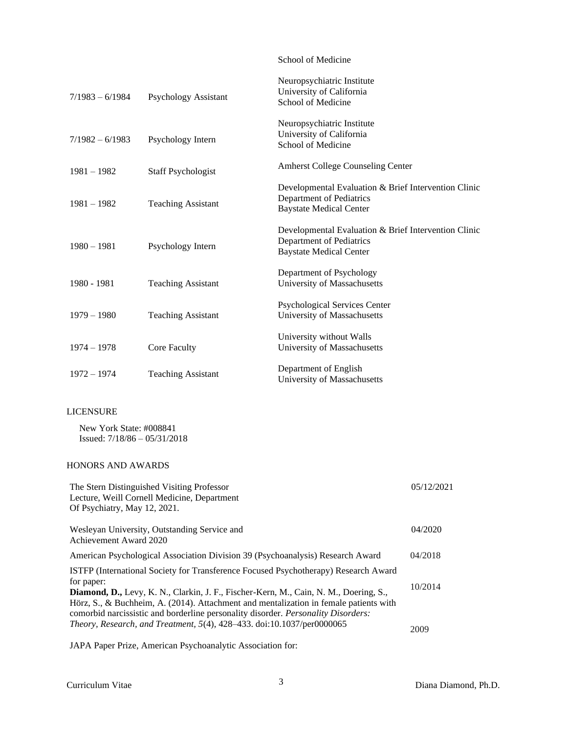# School of Medicine

| $7/1983 - 6/1984$ | Psychology Assistant      | Neuropsychiatric Institute<br>University of California<br>School of Medicine                                       |
|-------------------|---------------------------|--------------------------------------------------------------------------------------------------------------------|
| $7/1982 - 6/1983$ | Psychology Intern         | Neuropsychiatric Institute<br>University of California<br>School of Medicine                                       |
| $1981 - 1982$     | <b>Staff Psychologist</b> | <b>Amherst College Counseling Center</b>                                                                           |
| $1981 - 1982$     | <b>Teaching Assistant</b> | Developmental Evaluation & Brief Intervention Clinic<br>Department of Pediatrics<br><b>Baystate Medical Center</b> |
| $1980 - 1981$     | Psychology Intern         | Developmental Evaluation & Brief Intervention Clinic<br>Department of Pediatrics<br><b>Baystate Medical Center</b> |
| 1980 - 1981       | <b>Teaching Assistant</b> | Department of Psychology<br>University of Massachusetts                                                            |
| $1979 - 1980$     | <b>Teaching Assistant</b> | <b>Psychological Services Center</b><br>University of Massachusetts                                                |
| $1974 - 1978$     | Core Faculty              | University without Walls<br>University of Massachusetts                                                            |
| $1972 - 1974$     | <b>Teaching Assistant</b> | Department of English<br>University of Massachusetts                                                               |

# LICENSURE

New York State: #008841 Issued: 7/18/86 – 05/31/2018

# HONORS AND AWARDS

| The Stern Distinguished Visiting Professor<br>Lecture, Weill Cornell Medicine, Department<br>Of Psychiatry, May 12, 2021.                                                                                                                                                  | 05/12/2021 |
|----------------------------------------------------------------------------------------------------------------------------------------------------------------------------------------------------------------------------------------------------------------------------|------------|
| Wesleyan University, Outstanding Service and<br>Achievement Award 2020                                                                                                                                                                                                     | 04/2020    |
| American Psychological Association Division 39 (Psychoanalysis) Research Award                                                                                                                                                                                             | 04/2018    |
| <b>ISTFP</b> (International Society for Transference Focused Psychotherapy) Research Award<br>for paper:                                                                                                                                                                   |            |
| Diamond, D., Levy, K. N., Clarkin, J. F., Fischer-Kern, M., Cain, N. M., Doering, S.,<br>Hörz, S., & Buchheim, A. (2014). Attachment and mentalization in female patients with<br>comorbid narcissistic and borderline personality disorder. <i>Personality Disorders:</i> | 10/2014    |
| <i>Theory, Research, and Treatment, 5(4), 428–433. doi:10.1037/per0000065</i>                                                                                                                                                                                              | 2009       |

JAPA Paper Prize, American Psychoanalytic Association for: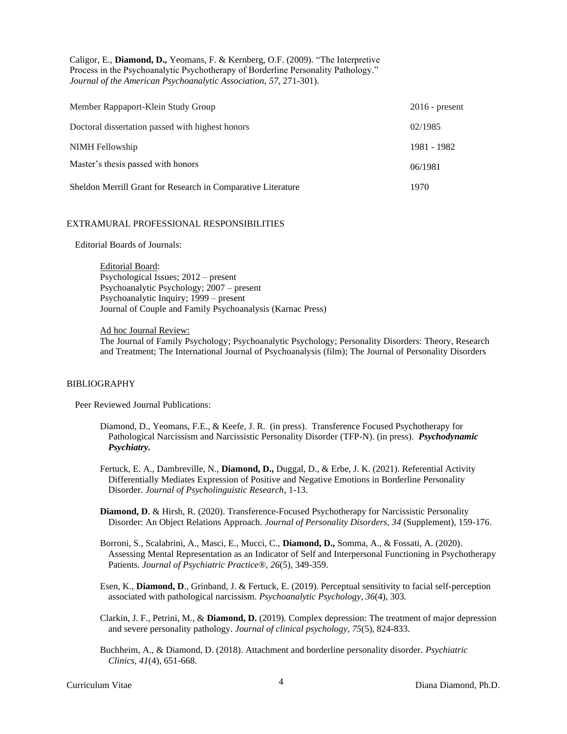Caligor, E., **Diamond, D.,** Yeomans, F. & Kernberg, O.F. (2009). "The Interpretive Process in the Psychoanalytic Psychotherapy of Borderline Personality Pathology." *Journal of the American Psychoanalytic Association, 57*, 271-301).

| Member Rappaport-Klein Study Group                           | $2016$ - present |
|--------------------------------------------------------------|------------------|
| Doctoral dissertation passed with highest honors             | 02/1985          |
| NIMH Fellowship                                              | 1981 - 1982      |
| Master's thesis passed with honors                           | 06/1981          |
| Sheldon Merrill Grant for Research in Comparative Literature | 1970             |

#### EXTRAMURAL PROFESSIONAL RESPONSIBILITIES

Editorial Boards of Journals:

Editorial Board: Psychological Issues; 2012 – present Psychoanalytic Psychology; 2007 – present Psychoanalytic Inquiry; 1999 – present Journal of Couple and Family Psychoanalysis (Karnac Press)

## Ad hoc Journal Review:

The Journal of Family Psychology; Psychoanalytic Psychology; Personality Disorders: Theory, Research and Treatment; The International Journal of Psychoanalysis (film); The Journal of Personality Disorders

## BIBLIOGRAPHY

Peer Reviewed Journal Publications:

- Diamond, D., Yeomans, F.E., & Keefe, J. R. (in press).Transference Focused Psychotherapy for Pathological Narcissism and Narcissistic Personality Disorder (TFP-N). (in press). *Psychodynamic Psychiatry.*
- Fertuck, E. A., Dambreville, N., **Diamond, D.,** Duggal, D., & Erbe, J. K. (2021). Referential Activity Differentially Mediates Expression of Positive and Negative Emotions in Borderline Personality Disorder. *Journal of Psycholinguistic Research*, 1-13.
- **Diamond, D. & Hirsh, R. (2020). Transference-Focused Psychotherapy for Narcissistic Personality** Disorder: An Object Relations Approach. *Journal of Personality Disorders, 34* (Supplement), 159-176.
- Borroni, S., Scalabrini, A., Masci, E., Mucci, C., **Diamond, D.,** Somma, A., & Fossati, A. (2020). Assessing Mental Representation as an Indicator of Self and Interpersonal Functioning in Psychotherapy Patients. *Journal of Psychiatric Practice®*, *26*(5), 349-359.
- Esen, K., **Diamond, D**., Grinband, J. & Fertuck, E. (2019). Perceptual sensitivity to facial self-perception associated with pathological narcissism. *Psychoanalytic Psychology, 36*(4), 303*.*
- Clarkin, J. F., Petrini, M., & **Diamond, D.** (2019). Complex depression: The treatment of major depression and severe personality pathology. *Journal of clinical psychology*, *75*(5), 824-833.
- Buchheim, A., & Diamond, D. (2018). Attachment and borderline personality disorder. *Psychiatric Clinics*, *41*(4), 651-668.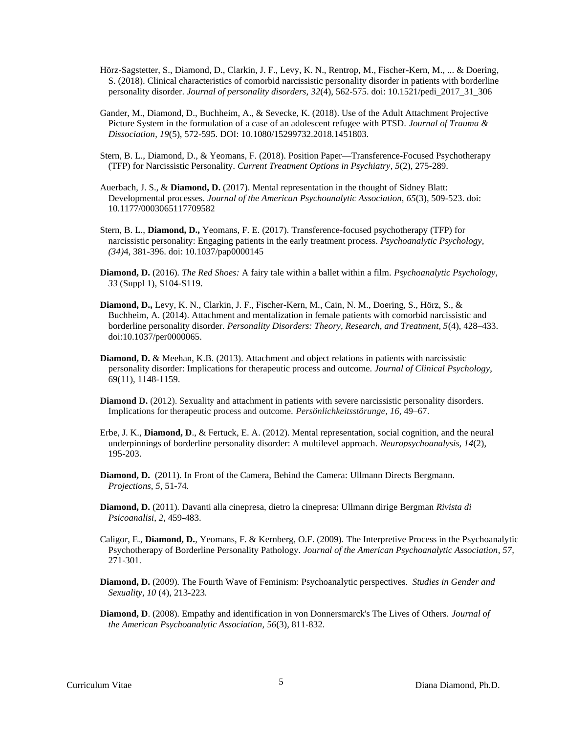- Hörz-Sagstetter, S., Diamond, D., Clarkin, J. F., Levy, K. N., Rentrop, M., Fischer-Kern, M., ... & Doering, S. (2018). Clinical characteristics of comorbid narcissistic personality disorder in patients with borderline personality disorder. *Journal of personality disorders*, *32*(4), 562-575. doi: 10.1521/pedi\_2017\_31\_306
- Gander, M., Diamond, D., Buchheim, A., & Sevecke, K. (2018). Use of the Adult Attachment Projective Picture System in the formulation of a case of an adolescent refugee with PTSD. *Journal of Trauma & Dissociation*, *19*(5), 572-595. DOI: 10.1080/15299732.2018.1451803.
- Stern, B. L., Diamond, D., & Yeomans, F. (2018). Position Paper—Transference-Focused Psychotherapy (TFP) for Narcissistic Personality. *Current Treatment Options in Psychiatry*, *5*(2), 275-289.
- Auerbach, J. S., & **Diamond, D.** (2017). Mental representation in the thought of Sidney Blatt: Developmental processes. *Journal of the American Psychoanalytic Association, 65*(3), 509-523. doi: 10.1177/0003065117709582
- Stern, B. L., **Diamond, D.,** Yeomans, F. E. (2017). Transference-focused psychotherapy (TFP) for narcissistic personality: Engaging patients in the early treatment process. *Psychoanalytic Psychology, (34)*4, 381-396. doi: 10.1037/pap0000145
- **Diamond, D.** (2016). *The Red Shoes:* A fairy tale within a ballet within a film. *Psychoanalytic Psychology, 33* (Suppl 1), S104-S119.
- **Diamond, D.,** Levy, K. N., Clarkin, J. F., Fischer-Kern, M., Cain, N. M., Doering, S., Hörz, S., & Buchheim, A. (2014). Attachment and mentalization in female patients with comorbid narcissistic and borderline personality disorder. *Personality Disorders: Theory, Research, and Treatment, 5*(4), 428–433. doi:10.1037/per0000065.
- **Diamond, D.** & Meehan, K.B. (2013). Attachment and object relations in patients with narcissistic personality disorder: Implications for therapeutic process and outcome. *Journal of Clinical Psychology*, 69(11), 1148-1159.
- **Diamond D.** (2012). Sexuality and attachment in patients with severe narcissistic personality disorders. Implications for therapeutic process and outcome. *Persönlichkeitsstörunge, 16*, 49–67.
- Erbe, J. K., **Diamond, D**., & Fertuck, E. A. (2012). Mental representation, social cognition, and the neural underpinnings of borderline personality disorder: A multilevel approach. *Neuropsychoanalysis*, *14*(2), 195-203.
- **Diamond, D.** (2011). In Front of the Camera, Behind the Camera: Ullmann Directs Bergmann. *Projections, 5*, 51-74*.*
- **Diamond, D.** (2011). Davanti alla cinepresa, dietro la cinepresa: Ullmann dirige Bergman *Rivista di Psicoanalisi*, *2*, 459-483.
- Caligor, E., **Diamond, D.**, Yeomans, F. & Kernberg, O.F. (2009). The Interpretive Process in the Psychoanalytic Psychotherapy of Borderline Personality Pathology. *Journal of the American Psychoanalytic Association*, *57,*  271-301*.*
- **Diamond, D.** (2009). The Fourth Wave of Feminism: Psychoanalytic perspectives. *Studies in Gender and Sexuality, 10* (4), 213-223*.*
- **Diamond, D**. (2008). Empathy and identification in von Donnersmarck's The Lives of Others. *Journal of the American Psychoanalytic Association*, *56*(3), 811-832.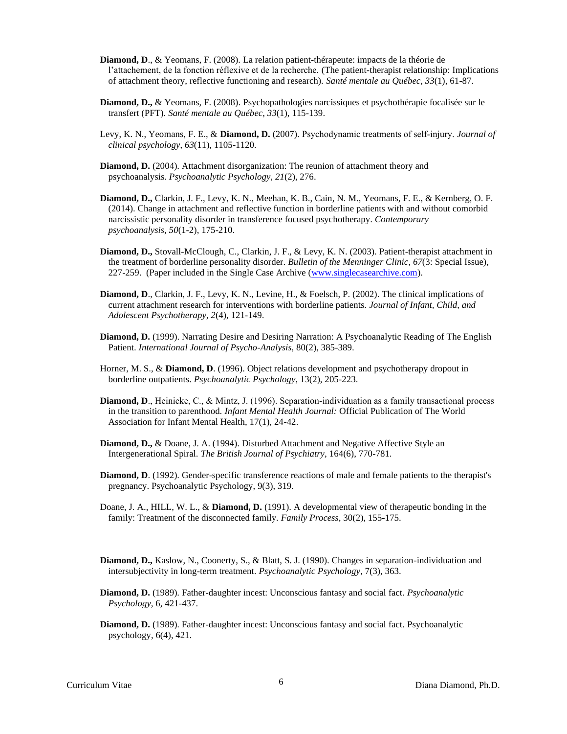- **Diamond, D**., & Yeomans, F. (2008). La relation patient-thérapeute: impacts de la théorie de l'attachement, de la fonction réflexive et de la recherche. (The patient-therapist relationship: Implications of attachment theory, reflective functioning and research). *Santé mentale au Québec*, *33*(1), 61-87.
- **Diamond, D.,** & Yeomans, F. (2008). Psychopathologies narcissiques et psychothérapie focalisée sur le transfert (PFT). *Santé mentale au Québec*, *33*(1), 115-139.
- Levy, K. N., Yeomans, F. E., & **Diamond, D.** (2007). Psychodynamic treatments of self‐injury. *Journal of clinical psychology*, *63*(11), 1105-1120.
- **Diamond, D.** (2004). Attachment disorganization: The reunion of attachment theory and psychoanalysis. *Psychoanalytic Psychology*, *21*(2), 276.
- **Diamond, D.,** Clarkin, J. F., Levy, K. N., Meehan, K. B., Cain, N. M., Yeomans, F. E., & Kernberg, O. F. (2014). Change in attachment and reflective function in borderline patients with and without comorbid narcissistic personality disorder in transference focused psychotherapy. *Contemporary psychoanalysis*, *50*(1-2), 175-210.
- **Diamond, D.,** Stovall-McClough, C., Clarkin, J. F., & Levy, K. N. (2003). Patient-therapist attachment in the treatment of borderline personality disorder. *Bulletin of the Menninger Clinic*, *67*(3: Special Issue), 227-259. (Paper included in the Single Case Archive [\(www.singlecasearchive.com\)](http://www.singlecasearchive.com/).
- **Diamond, D**., Clarkin, J. F., Levy, K. N., Levine, H., & Foelsch, P. (2002). The clinical implications of current attachment research for interventions with borderline patients. *Journal of Infant, Child, and Adolescent Psychotherapy, 2*(4), 121-149.
- **Diamond, D.** (1999). Narrating Desire and Desiring Narration: A Psychoanalytic Reading of The English Patient. *International Journal of Psycho-Analysis*, 80(2), 385-389.
- Horner, M. S., & **Diamond, D**. (1996). Object relations development and psychotherapy dropout in borderline outpatients. *Psychoanalytic Psychology*, 13(2), 205-223.
- **Diamond, D.**, Heinicke, C., & Mintz, J. (1996). Separation-individuation as a family transactional process in the transition to parenthood. *Infant Mental Health Journal:* Official Publication of The World Association for Infant Mental Health, 17(1), 24-42.
- **Diamond, D.,** & Doane, J. A. (1994). Disturbed Attachment and Negative Affective Style an Intergenerational Spiral. *The British Journal of Psychiatry*, 164(6), 770-781.
- **Diamond, D.** (1992). Gender-specific transference reactions of male and female patients to the therapist's pregnancy. Psychoanalytic Psychology, 9(3), 319.
- Doane, J. A., HILL, W. L., & **Diamond, D.** (1991). A developmental view of therapeutic bonding in the family: Treatment of the disconnected family. *Family Process*, 30(2), 155-175.
- **Diamond, D.,** Kaslow, N., Coonerty, S., & Blatt, S. J. (1990). Changes in separation-individuation and intersubjectivity in long-term treatment. *Psychoanalytic Psychology*, 7(3), 363.
- **Diamond, D.** (1989). Father-daughter incest: Unconscious fantasy and social fact. *Psychoanalytic Psychology,* 6, 421-437.
- **Diamond, D.** (1989). Father-daughter incest: Unconscious fantasy and social fact. Psychoanalytic psychology, 6(4), 421.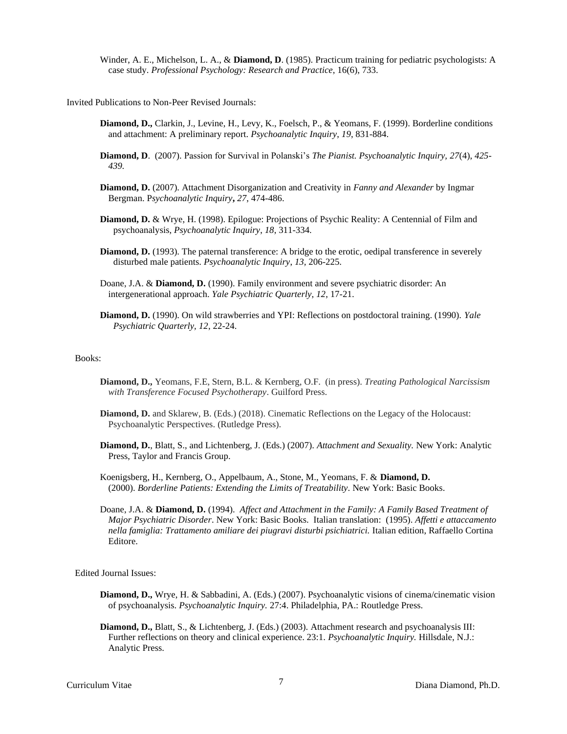Winder, A. E., Michelson, L. A., & **Diamond, D**. (1985). Practicum training for pediatric psychologists: A case study. *Professional Psychology: Research and Practice*, 16(6), 733.

Invited Publications to Non-Peer Revised Journals:

- **Diamond, D.,** Clarkin, J., Levine, H., Levy, K., Foelsch, P., & Yeomans, F. (1999). Borderline conditions and attachment: A preliminary report. *Psychoanalytic Inquiry*, *19*, 831-884.
- **Diamond, D**. (2007). Passion for Survival in Polanski's *The Pianist. Psychoanalytic Inquiry, 27*(4), *425- 439.*
- **Diamond, D.** (2007). Attachment Disorganization and Creativity in *Fanny and Alexander* by Ingmar Bergman. P*sychoanalytic Inquiry***,** *27*, 474-486.
- **Diamond, D.** & Wrye, H. (1998). Epilogue: Projections of Psychic Reality: A Centennial of Film and psychoanalysis*, Psychoanalytic Inquiry*, *18*, 311-334.
- **Diamond, D.** (1993). The paternal transference: A bridge to the erotic, oedipal transference in severely disturbed male patients. *Psychoanalytic Inquiry*, *13,* 206-225.
- Doane, J.A. & **Diamond, D.** (1990). Family environment and severe psychiatric disorder: An intergenerational approach. *Yale Psychiatric Quarterly*, *12*, 17-21.
- **Diamond, D.** (1990). On wild strawberries and YPI: Reflections on postdoctoral training. (1990). *Yale Psychiatric Quarterly, 12*, 22-24.

## Books:

- **Diamond, D.,** Yeomans, F.E, Stern, B.L. & Kernberg, O.F. (in press). *Treating Pathological Narcissism with Transference Focused Psychotherapy*. Guilford Press.
- **Diamond, D.** and Sklarew, B. (Eds.) (2018). Cinematic Reflections on the Legacy of the Holocaust: Psychoanalytic Perspectives. (Rutledge Press).
- **Diamond, D.**, Blatt, S., and Lichtenberg, J. (Eds.) (2007). *Attachment and Sexuality.* New York: Analytic Press, Taylor and Francis Group.
- Koenigsberg, H., Kernberg, O., Appelbaum, A., Stone, M., Yeomans, F. & **Diamond, D.** (2000). *Borderline Patients: Extending the Limits of Treatability*. New York: Basic Books.
- Doane, J.A. & **Diamond, D.** (1994). *Affect and Attachment in the Family: A Family Based Treatment of Major Psychiatric Disorder*. New York: Basic Books. Italian translation: (1995). *Affetti e attaccamento nella famiglia: Trattamento amiliare dei piugravi disturbi psichiatrici.* Italian edition, Raffaello Cortina Editore.

Edited Journal Issues:

- **Diamond, D.,** Wrye, H. & Sabbadini, A. (Eds.) (2007). Psychoanalytic visions of cinema/cinematic vision of psychoanalysis. *Psychoanalytic Inquiry.* 27:4. Philadelphia, PA.: Routledge Press.
- **Diamond, D.,** Blatt, S., & Lichtenberg, J. (Eds.) (2003). Attachment research and psychoanalysis III: Further reflections on theory and clinical experience. 23:1. *Psychoanalytic Inquiry.* Hillsdale, N.J.: Analytic Press.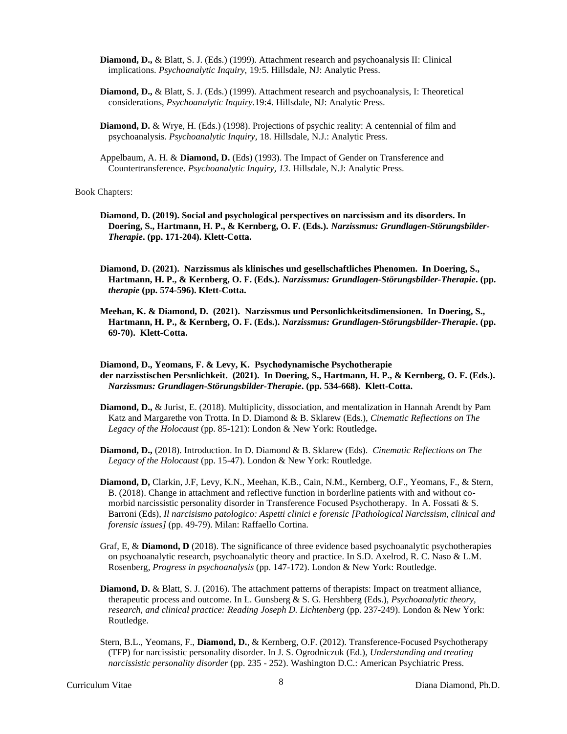- **Diamond, D.,** & Blatt, S. J. (Eds.) (1999). Attachment research and psychoanalysis II: Clinical implications. *Psychoanalytic Inquiry,* 19*:*5. Hillsdale, NJ: Analytic Press.
- **Diamond, D.,** & Blatt, S. J. (Eds.) (1999). Attachment research and psychoanalysis, I: Theoretical considerations, *Psychoanalytic Inquiry.*19:4. Hillsdale, NJ: Analytic Press.
- **Diamond, D.** & Wrye, H. (Eds.) (1998). Projections of psychic reality: A centennial of film and psychoanalysis. *Psychoanalytic Inquiry,* 18. Hillsdale, N.J.: Analytic Press.
- Appelbaum, A. H. & **Diamond, D.** (Eds) (1993). The Impact of Gender on Transference and Countertransference. *Psychoanalytic Inquiry, 13*. Hillsdale, N.J: Analytic Press.

Book Chapters:

- **Diamond, D. (2019). Social and psychological perspectives on narcissism and its disorders. In Doering, S., Hartmann, H. P., & Kernberg, O. F. (Eds.).** *Narzissmus: Grundlagen-Störungsbilder-Therapie***. (pp. 171-204). Klett-Cotta.**
- **Diamond, D. (2021). Narzissmus als klinisches und gesellschaftliches Phenomen. In Doering, S., Hartmann, H. P., & Kernberg, O. F. (Eds.).** *Narzissmus: Grundlagen-Störungsbilder-Therapie***. (pp.**  *therapie* **(pp. 574-596). Klett-Cotta.**
- **Meehan, K. & Diamond, D. (2021). Narzissmus und Personlichkeitsdimensionen. In Doering, S., Hartmann, H. P., & Kernberg, O. F. (Eds.).** *Narzissmus: Grundlagen-Störungsbilder-Therapie***. (pp. 69-70). Klett-Cotta.**

**Diamond, D., Yeomans, F. & Levy, K. Psychodynamische Psychotherapie der narzisstischen Persnlichkeit. (2021). In Doering, S., Hartmann, H. P., & Kernberg, O. F. (Eds.).**  *Narzissmus: Grundlagen-Störungsbilder-Therapie***. (pp. 534-668). Klett-Cotta.**

- **Diamond, D.,** & Jurist, E. (2018). Multiplicity, dissociation, and mentalization in Hannah Arendt by Pam Katz and Margarethe von Trotta. In D. Diamond & B. Sklarew (Eds.), *Cinematic Reflections on The Legacy of the Holocaust* (pp. 85-121): London & New York: Routledge**.**
- **Diamond, D.,** (2018). Introduction. In D. Diamond & B. Sklarew (Eds). *Cinematic Reflections on The Legacy of the Holocaust* (pp. 15-47). London & New York: Routledge.
- **Diamond, D,** Clarkin, J.F, Levy, K.N., Meehan, K.B., Cain, N.M., Kernberg, O.F., Yeomans, F., & Stern, B. (2018). Change in attachment and reflective function in borderline patients with and without comorbid narcissistic personality disorder in Transference Focused Psychotherapy. In A. Fossati & S. Barroni (Eds), *Il narcisismo patologico: Aspetti clinici e forensic [Pathological Narcissism, clinical and forensic issues]* (pp. 49-79). Milan: Raffaello Cortina.
- Graf, E, & **Diamond, D** (2018). The significance of three evidence based psychoanalytic psychotherapies on psychoanalytic research, psychoanalytic theory and practice. In S.D. Axelrod, R. C. Naso & L.M. Rosenberg, *Progress in psychoanalysis* (pp. 147-172). London & New York: Routledge.
- **Diamond, D. & Blatt, S. J. (2016). The attachment patterns of therapists: Impact on treatment alliance,** therapeutic process and outcome. In L. Gunsberg & S. G. Hershberg (Eds.), *Psychoanalytic theory, research, and clinical practice: Reading Joseph D. Lichtenberg* (pp. 237-249). London & New York: Routledge.
- Stern, B.L., Yeomans, F., **Diamond, D.**, & Kernberg, O.F. (2012). Transference-Focused Psychotherapy (TFP) for narcissistic personality disorder. In J. S. Ogrodniczuk (Ed.), *Understanding and treating narcissistic personality disorder* (pp. 235 - 252). Washington D.C.: American Psychiatric Press.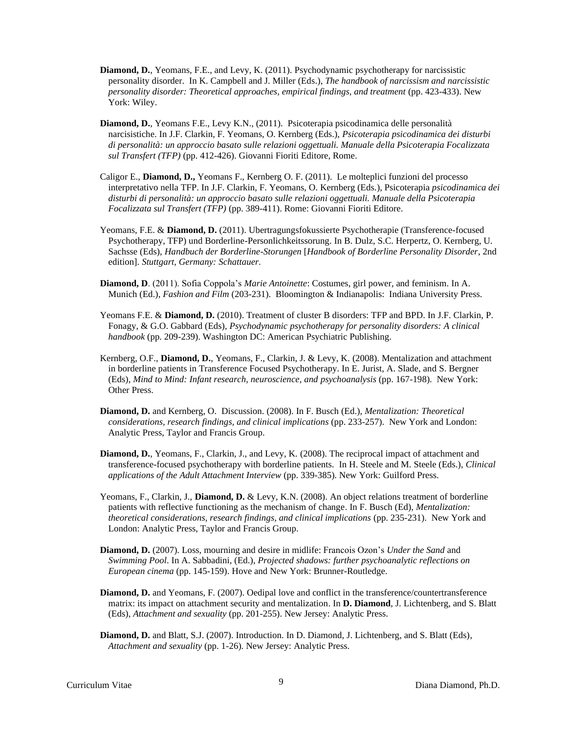- **Diamond, D.**, Yeomans, F.E., and Levy, K. (2011). Psychodynamic psychotherapy for narcissistic personality disorder. In K. Campbell and J. Miller (Eds.), *The handbook of narcissism and narcissistic personality disorder: Theoretical approaches, empirical findings, and treatment* (pp. 423-433). New York: Wiley.
- **Diamond, D.**, Yeomans F.E., Levy K.N., (2011). Psicoterapia psicodinamica delle personalità narcisistiche. In J.F. Clarkin, F. Yeomans, O. Kernberg (Eds.), *Psicoterapia psicodinamica dei disturbi di personalità: un approccio basato sulle relazioni oggettuali. Manuale della Psicoterapia Focalizzata sul Transfert (TFP)* (pp. 412-426). Giovanni Fioriti Editore, Rome.
- Caligor E., **Diamond, D.,** Yeomans F., Kernberg O. F. (2011). Le molteplici funzioni del processo interpretativo nella TFP. In J.F. Clarkin, F. Yeomans, O. Kernberg (Eds.), Psicoterapia *psicodinamica dei disturbi di personalità: un approccio basato sulle relazioni oggettuali. Manuale della Psicoterapia Focalizzata sul Transfert (TFP)* (pp. 389-411). Rome: Giovanni Fioriti Editore.
- Yeomans, F.E. & **Diamond, D.** (2011). Ubertragungsfokussierte Psychotherapie (Transference-focused Psychotherapy, TFP) und Borderline-Personlichkeitssorung. In B. Dulz, S.C. Herpertz, O. Kernberg, U. Sachsse (Eds), *Handbuch der Borderline-Storungen* [*Handbook of Borderline Personality Disorder*, 2nd edition]. *Stuttgart, Germany: Schattauer.*
- **Diamond, D**. (2011). Sofia Coppola's *Marie Antoinette*: Costumes, girl power, and feminism. In A. Munich (Ed.), *Fashion and Film* (203-231). Bloomington & Indianapolis: Indiana University Press.
- Yeomans F.E. & **Diamond, D.** (2010). Treatment of cluster B disorders: TFP and BPD. In J.F. Clarkin, P. Fonagy, & G.O. Gabbard (Eds), *Psychodynamic psychotherapy for personality disorders: A clinical handbook* (pp. 209-239). Washington DC: American Psychiatric Publishing.
- Kernberg, O.F., **Diamond, D.**, Yeomans, F., Clarkin, J. & Levy, K. (2008). Mentalization and attachment in borderline patients in Transference Focused Psychotherapy. In E. Jurist, A. Slade, and S. Bergner (Eds), *Mind to Mind: Infant research, neuroscience, and psychoanalysis* (pp. 167-198). New York: Other Press.
- **Diamond, D.** and Kernberg, O. Discussion. (2008). In F. Busch (Ed.), *Mentalization: Theoretical considerations, research findings, and clinical implications* (pp. 233-257). New York and London: Analytic Press, Taylor and Francis Group.
- **Diamond, D.**, Yeomans, F., Clarkin, J., and Levy, K. (2008). The reciprocal impact of attachment and transference-focused psychotherapy with borderline patients. In H. Steele and M. Steele (Eds.), *Clinical applications of the Adult Attachment Interview* (pp. 339-385). New York: Guilford Press.
- Yeomans, F., Clarkin, J., **Diamond, D.** & Levy, K.N. (2008). An object relations treatment of borderline patients with reflective functioning as the mechanism of change. In F. Busch (Ed), *Mentalization: theoretical considerations, research findings, and clinical implications* (pp. 235-231). New York and London: Analytic Press, Taylor and Francis Group.
- **Diamond, D.** (2007). Loss, mourning and desire in midlife: Francois Ozon's *Under the Sand* and *Swimming Pool*. In A. Sabbadini, (Ed.), *Projected shadows: further psychoanalytic reflections on European cinema* (pp. 145-159). Hove and New York: Brunner-Routledge.
- **Diamond, D.** and Yeomans, F. (2007). Oedipal love and conflict in the transference/countertransference matrix: its impact on attachment security and mentalization. In **D. Diamond**, J. Lichtenberg, and S. Blatt (Eds), *Attachment and sexuality* (pp. 201-255). New Jersey: Analytic Press.
- **Diamond, D.** and Blatt, S.J. (2007). Introduction. In D. Diamond, J. Lichtenberg, and S. Blatt (Eds), *Attachment and sexuality* (pp. 1-26). New Jersey: Analytic Press.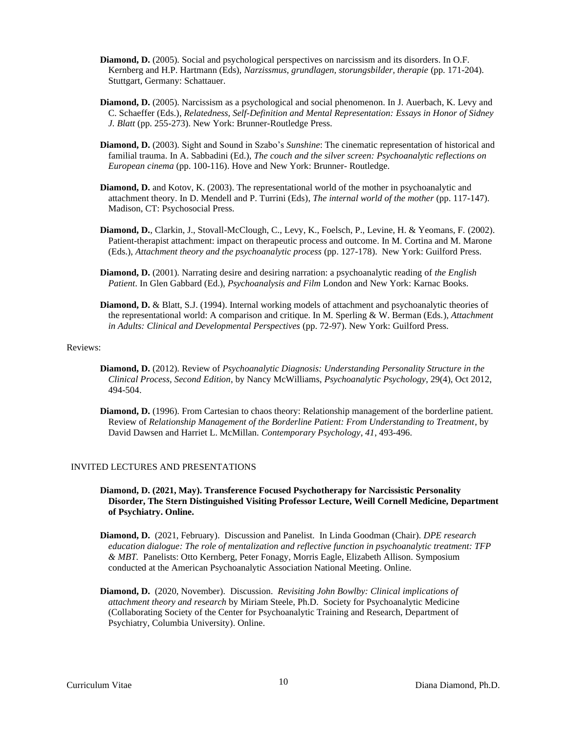- **Diamond, D.** (2005). Social and psychological perspectives on narcissism and its disorders. In O.F. Kernberg and H.P. Hartmann (Eds), *Narzissmus, grundlagen, storungsbilder, therapie* (pp. 171-204). Stuttgart, Germany: Schattauer.
- **Diamond, D.** (2005). Narcissism as a psychological and social phenomenon. In J. Auerbach, K. Levy and C. Schaeffer (Eds.), *Relatedness, Self-Definition and Mental Representation: Essays in Honor of Sidney J. Blatt* (pp. 255-273). New York: Brunner-Routledge Press.
- **Diamond, D.** (2003). Sight and Sound in Szabo's *Sunshine*: The cinematic representation of historical and familial trauma. In A. Sabbadini (Ed.), *The couch and the silver screen: Psychoanalytic reflections on European cinema* (pp. 100-116). Hove and New York: Brunner- Routledge.
- **Diamond, D.** and Kotov, K. (2003). The representational world of the mother in psychoanalytic and attachment theory. In D. Mendell and P. Turrini (Eds), *The internal world of the mother* (pp. 117-147). Madison, CT: Psychosocial Press.
- **Diamond, D.**, Clarkin, J., Stovall-McClough, C., Levy, K., Foelsch, P., Levine, H. & Yeomans, F. (2002). Patient-therapist attachment: impact on therapeutic process and outcome. In M. Cortina and M. Marone (Eds.), *Attachment theory and the psychoanalytic process* (pp. 127-178). New York: Guilford Press.
- **Diamond, D.** (2001). Narrating desire and desiring narration: a psychoanalytic reading of *the English Patient*. In Glen Gabbard (Ed.), *Psychoanalysis and Film* London and New York: Karnac Books.
- **Diamond, D.** & Blatt, S.J. (1994). Internal working models of attachment and psychoanalytic theories of the representational world: A comparison and critique. In M. Sperling & W. Berman (Eds.), *Attachment in Adults: Clinical and Developmental Perspectives* (pp. 72-97). New York: Guilford Press.

#### Reviews:

- **Diamond, D.** (2012). Review of *Psychoanalytic Diagnosis: Understanding Personality Structure in the Clinical Process, Second Edition*, by Nancy McWilliams, *Psychoanalytic Psychology*, 29(4), Oct 2012, 494-504.
- **Diamond, D.** (1996). From Cartesian to chaos theory: Relationship management of the borderline patient. Review of *Relationship Management of the Borderline Patient: From Understanding to Treatment*, by David Dawsen and Harriet L. McMillan. *Contemporary Psychology*, *41*, 493-496.

## INVITED LECTURES AND PRESENTATIONS

- **Diamond, D. (2021, May). Transference Focused Psychotherapy for Narcissistic Personality Disorder, The Stern Distinguished Visiting Professor Lecture, Weill Cornell Medicine, Department of Psychiatry. Online.**
- **Diamond, D.** (2021, February). Discussion and Panelist. In Linda Goodman (Chair). *DPE research education dialogue: The role of mentalization and reflective function in psychoanalytic treatment: TFP & MBT.* Panelists: Otto Kernberg, Peter Fonagy, Morris Eagle, Elizabeth Allison. Symposium conducted at the American Psychoanalytic Association National Meeting. Online.
- **Diamond, D.** (2020, November). Discussion. *Revisiting John Bowlby: Clinical implications of attachment theory and research* by Miriam Steele, Ph.D. Society for Psychoanalytic Medicine (Collaborating Society of the Center for Psychoanalytic Training and Research, Department of Psychiatry, Columbia University). Online.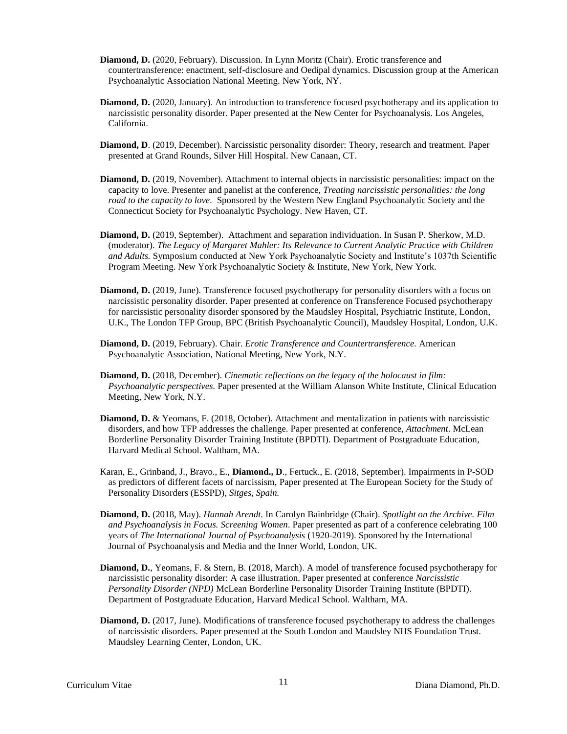- **Diamond, D.** (2020, February). Discussion. In Lynn Moritz (Chair). Erotic transference and countertransference: enactment, self-disclosure and Oedipal dynamics. Discussion group at the American Psychoanalytic Association National Meeting. New York, NY.
- **Diamond, D.** (2020, January). An introduction to transference focused psychotherapy and its application to narcissistic personality disorder. Paper presented at the New Center for Psychoanalysis. Los Angeles, California.
- **Diamond, D**. (2019, December). Narcissistic personality disorder: Theory, research and treatment. Paper presented at Grand Rounds, Silver Hill Hospital. New Canaan, CT.
- **Diamond, D.** (2019, November). Attachment to internal objects in narcissistic personalities: impact on the capacity to love. Presenter and panelist at the conference, *Treating narcissistic personalities: the long road to the capacity to love.* Sponsored by the Western New England Psychoanalytic Society and the Connecticut Society for Psychoanalytic Psychology. New Haven, CT.
- **Diamond, D.** (2019, September). Attachment and separation individuation. In Susan P. Sherkow, M.D. (moderator). *The Legacy of Margaret Mahler: Its Relevance to Current Analytic Practice with Children and Adults.* Symposium conducted at New York Psychoanalytic Society and Institute's 1037th Scientific Program Meeting. New York Psychoanalytic Society & Institute, New York, New York.
- **Diamond, D.** (2019, June). Transference focused psychotherapy for personality disorders with a focus on narcissistic personality disorder*.* Paper presented at conference on Transference Focused psychotherapy for narcissistic personality disorder sponsored by the Maudsley Hospital, Psychiatric Institute, London, U.K., The London TFP Group, BPC (British Psychoanalytic Council), Maudsley Hospital, London, U.K.
- **Diamond, D.** (2019, February). Chair. *Erotic Transference and Countertransference.* American Psychoanalytic Association, National Meeting, New York, N.Y.
- **Diamond, D.** (2018, December). *Cinematic reflections on the legacy of the holocaust in film: Psychoanalytic perspectives.* Paper presented at the William Alanson White Institute, Clinical Education Meeting, New York, N.Y.
- **Diamond, D.** & Yeomans, F. (2018, October). Attachment and mentalization in patients with narcissistic disorders, and how TFP addresses the challenge. Paper presented at conference, *Attachment*. McLean Borderline Personality Disorder Training Institute (BPDTI). Department of Postgraduate Education, Harvard Medical School. Waltham, MA.
- Karan, E., Grinband, J., Bravo., E., **Diamond., D**., Fertuck., E. (2018, September). Impairments in P-SOD as predictors of different facets of narcissism, Paper presented at The European Society for the Study of Personality Disorders (ESSPD)*, Sitges, Spain.*
- **Diamond, D.** (2018, May). *Hannah Arendt.* In Carolyn Bainbridge (Chair). *Spotlight on the Archive. Film and Psychoanalysis in Focus. Screening Women*. Paper presented as part of a conference celebrating 100 years of *The International Journal of Psychoanalysis* (1920-2019). Sponsored by the International Journal of Psychoanalysis and Media and the Inner World, London, UK.
- **Diamond, D.**, Yeomans, F. & Stern, B. (2018, March). A model of transference focused psychotherapy for narcissistic personality disorder: A case illustration. Paper presented at conference *Narcissistic Personality Disorder (NPD)* McLean Borderline Personality Disorder Training Institute (BPDTI). Department of Postgraduate Education, Harvard Medical School. Waltham, MA.
- **Diamond, D.** (2017, June). Modifications of transference focused psychotherapy to address the challenges of narcissistic disorders. Paper presented at the South London and Maudsley NHS Foundation Trust. Maudsley Learning Center, London, UK.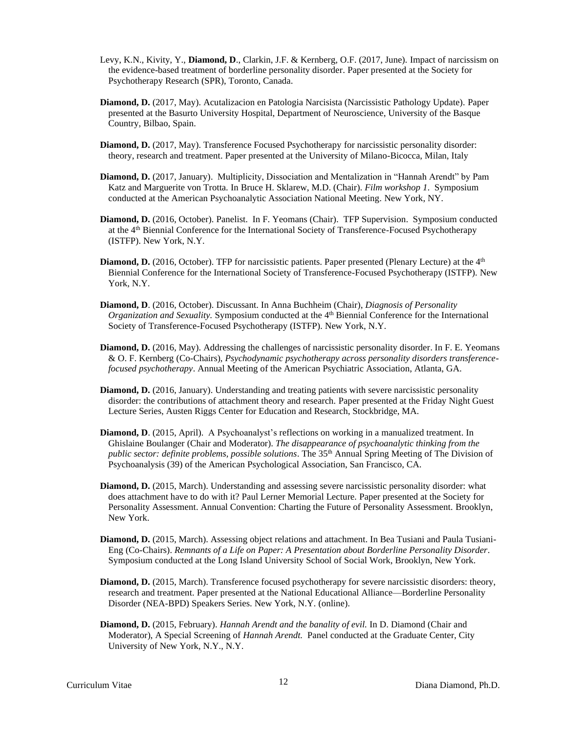- Levy, K.N., Kivity, Y., **Diamond, D**., Clarkin, J.F. & Kernberg, O.F. (2017, June). Impact of narcissism on the evidence-based treatment of borderline personality disorder. Paper presented at the Society for Psychotherapy Research (SPR), Toronto, Canada.
- **Diamond, D.** (2017, May). Acutalizacion en Patologia Narcisista (Narcissistic Pathology Update). Paper presented at the Basurto University Hospital, Department of Neuroscience, University of the Basque Country, Bilbao, Spain.
- **Diamond, D.** (2017, May). Transference Focused Psychotherapy for narcissistic personality disorder: theory, research and treatment. Paper presented at the University of Milano-Bicocca, Milan, Italy
- **Diamond, D.** (2017, January). Multiplicity, Dissociation and Mentalization in "Hannah Arendt" by Pam Katz and Marguerite von Trotta. In Bruce H. Sklarew, M.D. (Chair). *Film workshop 1*. Symposium conducted at the American Psychoanalytic Association National Meeting. New York, NY.
- **Diamond, D.** (2016, October). Panelist. In F. Yeomans (Chair). TFP Supervision. Symposium conducted at the 4<sup>th</sup> Biennial Conference for the International Society of Transference-Focused Psychotherapy (ISTFP). New York, N.Y.
- Diamond, D. (2016, October). TFP for narcissistic patients. Paper presented (Plenary Lecture) at the 4<sup>th</sup> Biennial Conference for the International Society of Transference-Focused Psychotherapy (ISTFP). New York, N.Y.
- **Diamond, D**. (2016, October). Discussant. In Anna Buchheim (Chair), *Diagnosis of Personality Organization and Sexuality.* Symposium conducted at the 4 th Biennial Conference for the International Society of Transference-Focused Psychotherapy (ISTFP). New York, N.Y.
- **Diamond, D.** (2016, May). Addressing the challenges of narcissistic personality disorder. In F. E. Yeomans & O. F. Kernberg (Co-Chairs), *Psychodynamic psychotherapy across personality disorders transferencefocused psychotherapy*. Annual Meeting of the American Psychiatric Association, Atlanta, GA.
- **Diamond, D.** (2016, January). Understanding and treating patients with severe narcissistic personality disorder: the contributions of attachment theory and research. Paper presented at the Friday Night Guest Lecture Series, Austen Riggs Center for Education and Research, Stockbridge, MA.
- **Diamond, D.** (2015, April). A Psychoanalyst's reflections on working in a manualized treatment. In Ghislaine Boulanger (Chair and Moderator). *The disappearance of psychoanalytic thinking from the public sector: definite problems, possible solutions*. The 35th Annual Spring Meeting of The Division of Psychoanalysis (39) of the American Psychological Association, San Francisco, CA.
- **Diamond, D.** (2015, March). Understanding and assessing severe narcissistic personality disorder: what does attachment have to do with it? Paul Lerner Memorial Lecture. Paper presented at the Society for Personality Assessment. Annual Convention: Charting the Future of Personality Assessment. Brooklyn, New York.
- **Diamond, D.** (2015, March). Assessing object relations and attachment. In Bea Tusiani and Paula Tusiani-Eng (Co-Chairs). *Remnants of a Life on Paper: A Presentation about Borderline Personality Disorder.*  Symposium conducted at the Long Island University School of Social Work, Brooklyn, New York.
- **Diamond, D.** (2015, March). Transference focused psychotherapy for severe narcissistic disorders: theory, research and treatment. Paper presented at the National Educational Alliance—Borderline Personality Disorder (NEA-BPD) Speakers Series. New York, N.Y. (online).
- **Diamond, D.** (2015, February). *Hannah Arendt and the banality of evil.* In D. Diamond (Chair and Moderator), A Special Screening of *Hannah Arendt.* Panel conducted at the Graduate Center, City University of New York, N.Y., N.Y.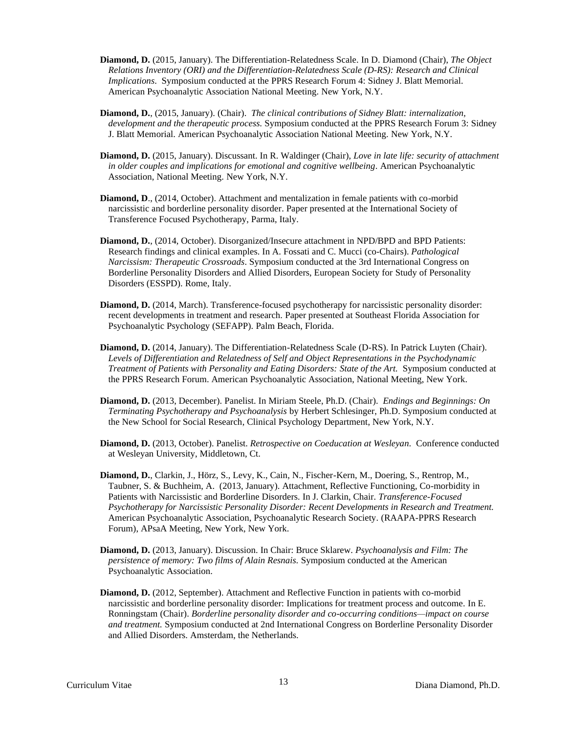- **Diamond, D.** (2015, January). The Differentiation-Relatedness Scale. In D. Diamond (Chair), *The Object Relations Inventory (ORI) and the Differentiation-Relatedness Scale (D-RS): Research and Clinical Implications*. Symposium conducted at the PPRS Research Forum 4: Sidney J. Blatt Memorial. American Psychoanalytic Association National Meeting. New York, N.Y.
- **Diamond, D.**, (2015, January). (Chair). *The clinical contributions of Sidney Blatt: internalization, development and the therapeutic process.* Symposium conducted at the PPRS Research Forum 3: Sidney J. Blatt Memorial. American Psychoanalytic Association National Meeting. New York, N.Y.
- **Diamond, D.** (2015, January). Discussant. In R. Waldinger (Chair), *Love in late life: security of attachment in older couples and implications for emotional and cognitive wellbeing.* American Psychoanalytic Association, National Meeting. New York, N.Y.
- **Diamond, D**., (2014, October). Attachment and mentalization in female patients with co-morbid narcissistic and borderline personality disorder. Paper presented at the International Society of Transference Focused Psychotherapy, Parma, Italy.
- **Diamond, D.**, (2014, October). Disorganized/Insecure attachment in NPD/BPD and BPD Patients: Research findings and clinical examples. In A. Fossati and C. Mucci (co-Chairs). *Pathological Narcissism: Therapeutic Crossroads*. Symposium conducted at the 3rd International Congress on Borderline Personality Disorders and Allied Disorders, European Society for Study of Personality Disorders (ESSPD). Rome, Italy.
- **Diamond, D.** (2014, March). Transference-focused psychotherapy for narcissistic personality disorder: recent developments in treatment and research. Paper presented at Southeast Florida Association for Psychoanalytic Psychology (SEFAPP). Palm Beach, Florida.
- **Diamond, D.** (2014, January). The Differentiation-Relatedness Scale (D-RS). In Patrick Luyten (Chair). *Levels of Differentiation and Relatedness of Self and Object Representations in the Psychodynamic Treatment of Patients with Personality and Eating Disorders: State of the Art.* Symposium conducted at the PPRS Research Forum. American Psychoanalytic Association, National Meeting, New York.
- **Diamond, D.** (2013, December). Panelist. In Miriam Steele, Ph.D. (Chair). *Endings and Beginnings: On Terminating Psychotherapy and Psychoanalysis* by Herbert Schlesinger, Ph.D. Symposium conducted at the New School for Social Research, Clinical Psychology Department, New York, N.Y.
- **Diamond, D.** (2013, October). Panelist. *Retrospective on Coeducation at Wesleyan.* Conference conducted at Wesleyan University, Middletown, Ct.
- **Diamond, D.**, Clarkin, J., Hörz, S., Levy, K., Cain, N., Fischer-Kern, M., Doering, S., Rentrop, M., Taubner, S. & Buchheim, A. (2013, January). Attachment, Reflective Functioning, Co-morbidity in Patients with Narcissistic and Borderline Disorders. In J. Clarkin, Chair. *Transference-Focused Psychotherapy for Narcissistic Personality Disorder: Recent Developments in Research and Treatment.* American Psychoanalytic Association, Psychoanalytic Research Society. (RAAPA-PPRS Research Forum), APsaA Meeting, New York, New York.
- **Diamond, D.** (2013, January). Discussion. In Chair: Bruce Sklarew. *Psychoanalysis and Film: The persistence of memory: Two films of Alain Resnais.* Symposium conducted at the American Psychoanalytic Association.
- **Diamond, D.** (2012, September). Attachment and Reflective Function in patients with co-morbid narcissistic and borderline personality disorder: Implications for treatment process and outcome. In E. Ronningstam (Chair). *Borderline personality disorder and co-occurring conditions—impact on course and treatment.* Symposium conducted at 2nd International Congress on Borderline Personality Disorder and Allied Disorders. Amsterdam, the Netherlands.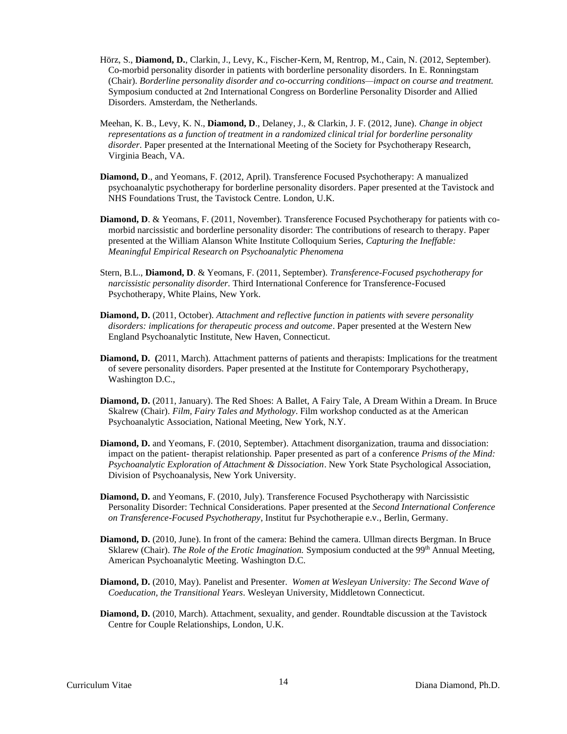- Hörz, S., **Diamond, D.**, Clarkin, J., Levy, K., Fischer-Kern, M, Rentrop, M., Cain, N. (2012, September). Co-morbid personality disorder in patients with borderline personality disorders. In E. Ronningstam (Chair). *Borderline personality disorder and co-occurring conditions—impact on course and treatment.* Symposium conducted at 2nd International Congress on Borderline Personality Disorder and Allied Disorders. Amsterdam, the Netherlands.
- Meehan, K. B., Levy, K. N., **Diamond, D**., Delaney, J., & Clarkin, J. F. (2012, June). *Change in object representations as a function of treatment in a randomized clinical trial for borderline personality disorder*. Paper presented at the International Meeting of the Society for Psychotherapy Research, Virginia Beach, VA.
- **Diamond, D**., and Yeomans, F. (2012, April). Transference Focused Psychotherapy: A manualized psychoanalytic psychotherapy for borderline personality disorders. Paper presented at the Tavistock and NHS Foundations Trust, the Tavistock Centre. London, U.K.
- **Diamond, D**. & Yeomans, F. (2011, November). Transference Focused Psychotherapy for patients with comorbid narcissistic and borderline personality disorder: The contributions of research to therapy*.* Paper presented at the William Alanson White Institute Colloquium Series, *Capturing the Ineffable: Meaningful Empirical Research on Psychoanalytic Phenomena*
- Stern, B.L., **Diamond, D**. & Yeomans, F. (2011, September). *Transference-Focused psychotherapy for narcissistic personality disorder.* Third International Conference for Transference-Focused Psychotherapy, White Plains, New York.
- **Diamond, D.** (2011, October). *Attachment and reflective function in patients with severe personality disorders: implications for therapeutic process and outcome*. Paper presented at the Western New England Psychoanalytic Institute, New Haven, Connecticut.
- **Diamond, D. (**2011, March). Attachment patterns of patients and therapists: Implications for the treatment of severe personality disorders. Paper presented at the Institute for Contemporary Psychotherapy, Washington D.C.,
- **Diamond, D.** (2011, January). The Red Shoes: A Ballet, A Fairy Tale, A Dream Within a Dream. In Bruce Skalrew (Chair). *Film, Fairy Tales and Mythology*. Film workshop conducted as at the American Psychoanalytic Association, National Meeting, New York, N.Y.
- **Diamond, D.** and Yeomans, F. (2010, September). Attachment disorganization, trauma and dissociation: impact on the patient- therapist relationship*.* Paper presented as part of a conference *Prisms of the Mind: Psychoanalytic Exploration of Attachment & Dissociation*. New York State Psychological Association, Division of Psychoanalysis, New York University.
- **Diamond, D.** and Yeomans, F. (2010, July). Transference Focused Psychotherapy with Narcissistic Personality Disorder: Technical Considerations. Paper presented at the *Second International Conference on Transference-Focused Psychotherapy*, Institut fur Psychotherapie e.v., Berlin, Germany.
- **Diamond, D.** (2010, June). In front of the camera: Behind the camera. Ullman directs Bergman. In Bruce Sklarew (Chair). *The Role of the Erotic Imagination*. Symposium conducted at the 99<sup>th</sup> Annual Meeting, American Psychoanalytic Meeting. Washington D.C.
- **Diamond, D.** (2010, May). Panelist and Presenter. *Women at Wesleyan University: The Second Wave of Coeducation, the Transitional Years*. Wesleyan University, Middletown Connecticut.
- **Diamond, D.** (2010, March). Attachment, sexuality, and gender. Roundtable discussion at the Tavistock Centre for Couple Relationships, London, U.K.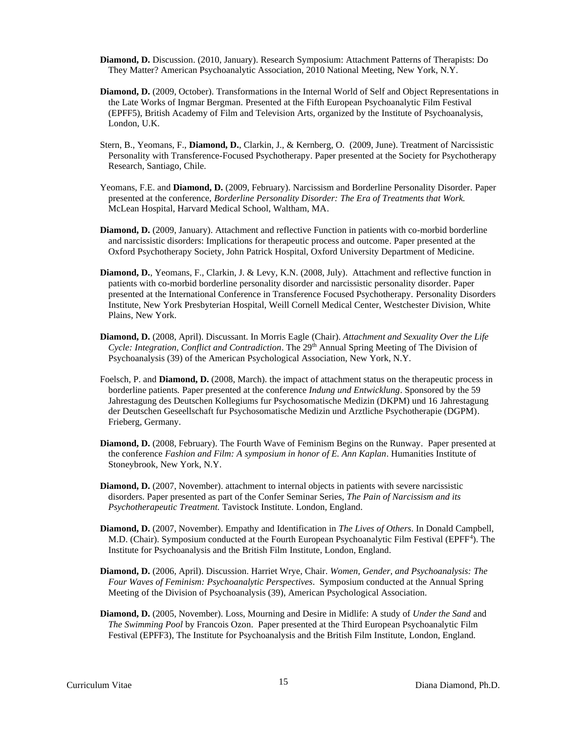- **Diamond, D.** Discussion. (2010, January). Research Symposium: Attachment Patterns of Therapists: Do They Matter? American Psychoanalytic Association, 2010 National Meeting, New York, N.Y.
- **Diamond, D.** (2009, October). Transformations in the Internal World of Self and Object Representations in the Late Works of Ingmar Bergman. Presented at the Fifth European Psychoanalytic Film Festival (EPFF5), British Academy of Film and Television Arts, organized by the Institute of Psychoanalysis, London, U.K.
- Stern, B., Yeomans, F., **Diamond, D.**, Clarkin, J., & Kernberg, O. (2009, June). Treatment of Narcissistic Personality with Transference-Focused Psychotherapy. Paper presented at the Society for Psychotherapy Research, Santiago, Chile.
- Yeomans, F.E. and **Diamond, D.** (2009, February). Narcissism and Borderline Personality Disorder. Paper presented at the conference, *Borderline Personality Disorder: The Era of Treatments that Work.*  McLean Hospital, Harvard Medical School, Waltham, MA.
- **Diamond, D.** (2009, January). Attachment and reflective Function in patients with co-morbid borderline and narcissistic disorders: Implications for therapeutic process and outcome. Paper presented at the Oxford Psychotherapy Society, John Patrick Hospital, Oxford University Department of Medicine.
- **Diamond, D.**, Yeomans, F., Clarkin, J. & Levy, K.N. (2008, July). Attachment and reflective function in patients with co-morbid borderline personality disorder and narcissistic personality disorder. Paper presented at the International Conference in Transference Focused Psychotherapy. Personality Disorders Institute, New York Presbyterian Hospital, Weill Cornell Medical Center, Westchester Division, White Plains, New York.
- **Diamond, D.** (2008, April). Discussant. In Morris Eagle (Chair). *Attachment and Sexuality Over the Life Cycle: Integration, Conflict and Contradiction*. The 29th Annual Spring Meeting of The Division of Psychoanalysis (39) of the American Psychological Association, New York, N.Y.
- Foelsch, P. and **Diamond, D.** (2008, March). the impact of attachment status on the therapeutic process in borderline patients*.* Paper presented at the conference *Indung und Entwicklung*. Sponsored by the 59 Jahrestagung des Deutschen Kollegiums fur Psychosomatische Medizin (DKPM) und 16 Jahrestagung der Deutschen Geseellschaft fur Psychosomatische Medizin und Arztliche Psychotherapie (DGPM). Frieberg, Germany.
- **Diamond, D.** (2008, February). The Fourth Wave of Feminism Begins on the Runway. Paper presented at the conference *Fashion and Film: A symposium in honor of E. Ann Kaplan*. Humanities Institute of Stoneybrook, New York, N.Y.
- **Diamond, D.** (2007, November). attachment to internal objects in patients with severe narcissistic disorders. Paper presented as part of the Confer Seminar Series, *The Pain of Narcissism and its Psychotherapeutic Treatment.* Tavistock Institute. London, England.
- **Diamond, D.** (2007, November). Empathy and Identification in *The Lives of Others*. In Donald Campbell, M.D. (Chair). Symposium conducted at the Fourth European Psychoanalytic Film Festival (EPFF<sup>4</sup>). The Institute for Psychoanalysis and the British Film Institute, London, England.
- **Diamond, D.** (2006, April). Discussion. Harriet Wrye, Chair. *Women, Gender, and Psychoanalysis: The Four Waves of Feminism: Psychoanalytic Perspectives*. Symposium conducted at the Annual Spring Meeting of the Division of Psychoanalysis (39), American Psychological Association.
- **Diamond, D.** (2005, November). Loss, Mourning and Desire in Midlife: A study of *Under the Sand* and *The Swimming Pool* by Francois Ozon. Paper presented at the Third European Psychoanalytic Film Festival (EPFF3), The Institute for Psychoanalysis and the British Film Institute, London, England.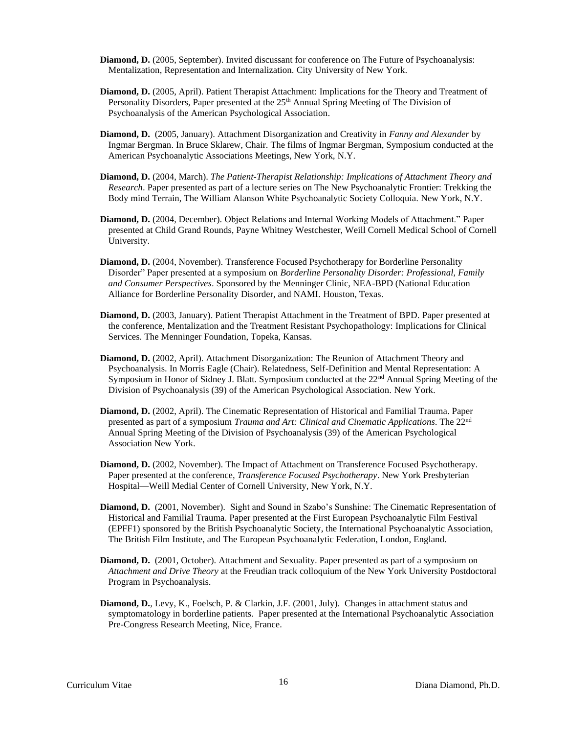- **Diamond, D.** (2005, September). Invited discussant for conference on The Future of Psychoanalysis: Mentalization, Representation and Internalization. City University of New York.
- **Diamond, D.** (2005, April). Patient Therapist Attachment: Implications for the Theory and Treatment of Personality Disorders, Paper presented at the  $25<sup>th</sup>$  Annual Spring Meeting of The Division of Psychoanalysis of the American Psychological Association.
- **Diamond, D.** (2005, January). Attachment Disorganization and Creativity in *Fanny and Alexander* by Ingmar Bergman. In Bruce Sklarew, Chair. The films of Ingmar Bergman, Symposium conducted at the American Psychoanalytic Associations Meetings, New York, N.Y.
- **Diamond, D.** (2004, March). *The Patient-Therapist Relationship: Implications of Attachment Theory and Research*. Paper presented as part of a lecture series on The New Psychoanalytic Frontier: Trekking the Body mind Terrain, The William Alanson White Psychoanalytic Society Colloquia. New York, N.Y.
- **Diamond, D.** (2004, December). Object Relations and Internal Working Models of Attachment." Paper presented at Child Grand Rounds, Payne Whitney Westchester, Weill Cornell Medical School of Cornell University.
- **Diamond, D.** (2004, November). Transference Focused Psychotherapy for Borderline Personality Disorder" Paper presented at a symposium on *Borderline Personality Disorder: Professional, Family and Consumer Perspectives*. Sponsored by the Menninger Clinic, NEA-BPD (National Education Alliance for Borderline Personality Disorder, and NAMI. Houston, Texas.
- **Diamond, D.** (2003, January). Patient Therapist Attachment in the Treatment of BPD. Paper presented at the conference, Mentalization and the Treatment Resistant Psychopathology: Implications for Clinical Services. The Menninger Foundation, Topeka, Kansas.
- **Diamond, D.** (2002, April). Attachment Disorganization: The Reunion of Attachment Theory and Psychoanalysis. In Morris Eagle (Chair). Relatedness, Self-Definition and Mental Representation: A Symposium in Honor of Sidney J. Blatt. Symposium conducted at the 22<sup>nd</sup> Annual Spring Meeting of the Division of Psychoanalysis (39) of the American Psychological Association. New York.
- **Diamond, D.** (2002, April). The Cinematic Representation of Historical and Familial Trauma. Paper presented as part of a symposium *Trauma and Art: Clinical and Cinematic Applications*. The 22nd Annual Spring Meeting of the Division of Psychoanalysis (39) of the American Psychological Association New York.
- **Diamond, D.** (2002, November). The Impact of Attachment on Transference Focused Psychotherapy. Paper presented at the conference, *Transference Focused Psychotherapy*. New York Presbyterian Hospital—Weill Medial Center of Cornell University, New York, N.Y.
- **Diamond, D.** (2001, November). Sight and Sound in Szabo's Sunshine: The Cinematic Representation of Historical and Familial Trauma. Paper presented at the First European Psychoanalytic Film Festival (EPFF1) sponsored by the British Psychoanalytic Society, the International Psychoanalytic Association, The British Film Institute, and The European Psychoanalytic Federation, London, England.
- **Diamond, D.** (2001, October). Attachment and Sexuality. Paper presented as part of a symposium on *Attachment and Drive Theory* at the Freudian track colloquium of the New York University Postdoctoral Program in Psychoanalysis.
- **Diamond, D.**, Levy, K., Foelsch, P. & Clarkin, J.F. (2001, July). Changes in attachment status and symptomatology in borderline patients*.* Paper presented at the International Psychoanalytic Association Pre-Congress Research Meeting, Nice, France.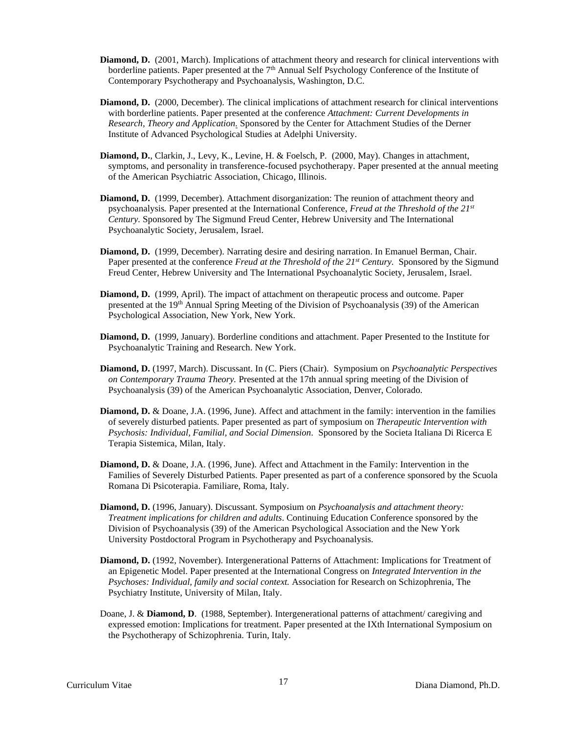- **Diamond, D.** (2001, March). Implications of attachment theory and research for clinical interventions with borderline patients. Paper presented at the 7<sup>th</sup> Annual Self Psychology Conference of the Institute of Contemporary Psychotherapy and Psychoanalysis, Washington, D.C.
- **Diamond, D.** (2000, December). The clinical implications of attachment research for clinical interventions with borderline patients. Paper presented at the conference *Attachment: Current Developments in Research, Theory and Application.* Sponsored by the Center for Attachment Studies of the Derner Institute of Advanced Psychological Studies at Adelphi University.
- **Diamond, D.**, Clarkin, J., Levy, K., Levine, H. & Foelsch, P. (2000, May). Changes in attachment, symptoms, and personality in transference-focused psychotherapy*.* Paper presented at the annual meeting of the American Psychiatric Association, Chicago, Illinois.
- **Diamond, D.** (1999, December). Attachment disorganization: The reunion of attachment theory and psychoanalysis*.* Paper presented at the International Conference, *Freud at the Threshold of the 21st Century.* Sponsored by The Sigmund Freud Center, Hebrew University and The International Psychoanalytic Society, Jerusalem, Israel.
- **Diamond, D.** (1999, December). Narrating desire and desiring narration. In Emanuel Berman, Chair. Paper presented at the conference *Freud at the Threshold of the 21st Century.* Sponsored by the Sigmund Freud Center, Hebrew University and The International Psychoanalytic Society, Jerusalem, Israel.
- **Diamond, D.** (1999, April). The impact of attachment on therapeutic process and outcome. Paper presented at the 19<sup>th</sup> Annual Spring Meeting of the Division of Psychoanalysis (39) of the American Psychological Association, New York, New York.
- **Diamond, D.** (1999, January). Borderline conditions and attachment. Paper Presented to the Institute for Psychoanalytic Training and Research. New York.
- **Diamond, D.** (1997, March). Discussant. In (C. Piers (Chair). Symposium on *Psychoanalytic Perspectives on Contemporary Trauma Theory.* Presented at the 17th annual spring meeting of the Division of Psychoanalysis (39) of the American Psychoanalytic Association, Denver, Colorado.
- **Diamond, D.** & Doane, J.A. (1996, June). Affect and attachment in the family: intervention in the families of severely disturbed patients. Paper presented as part of symposium on *Therapeutic Intervention with Psychosis: Individual, Familial, and Social Dimension.* Sponsored by the Societa Italiana Di Ricerca E Terapia Sistemica, Milan, Italy.
- **Diamond, D.** & Doane, J.A. (1996, June). Affect and Attachment in the Family: Intervention in the Families of Severely Disturbed Patients*.* Paper presented as part of a conference sponsored by the Scuola Romana Di Psicoterapia. Familiare, Roma, Italy.
- **Diamond, D.** (1996, January). Discussant. Symposium on *Psychoanalysis and attachment theory: Treatment implications for children and adults*. Continuing Education Conference sponsored by the Division of Psychoanalysis (39) of the American Psychological Association and the New York University Postdoctoral Program in Psychotherapy and Psychoanalysis.
- **Diamond, D.** (1992, November). Intergenerational Patterns of Attachment: Implications for Treatment of an Epigenetic Model. Paper presented at the International Congress on *Integrated Intervention in the Psychoses: Individual, family and social context.* Association for Research on Schizophrenia, The Psychiatry Institute, University of Milan, Italy.
- Doane, J. & **Diamond, D**. (1988, September). Intergenerational patterns of attachment/ caregiving and expressed emotion: Implications for treatment. Paper presented at the IXth International Symposium on the Psychotherapy of Schizophrenia. Turin, Italy.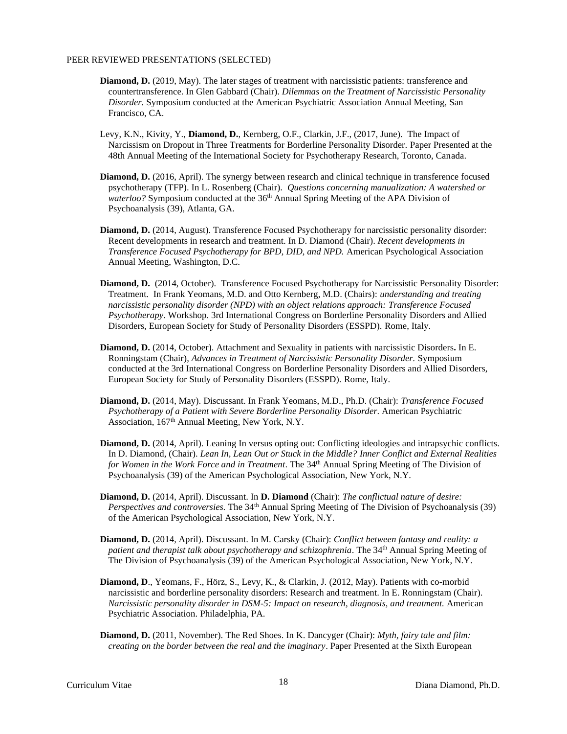#### PEER REVIEWED PRESENTATIONS (SELECTED)

- **Diamond, D.** (2019, May). The later stages of treatment with narcissistic patients: transference and countertransference. In Glen Gabbard (Chair). *Dilemmas on the Treatment of Narcissistic Personality Disorder.* Symposium conducted at the American Psychiatric Association Annual Meeting, San Francisco, CA.
- Levy, K.N., Kivity, Y., **Diamond, D.**, Kernberg, O.F., Clarkin, J.F., (2017, June). The Impact of Narcissism on Dropout in Three Treatments for Borderline Personality Disorder. Paper Presented at the 48th Annual Meeting of the International Society for Psychotherapy Research, Toronto, Canada.
- **Diamond, D.** (2016, April). The synergy between research and clinical technique in transference focused psychotherapy (TFP). In L. Rosenberg (Chair). *Questions concerning manualization: A watershed or waterloo?* Symposium conducted at the 36<sup>th</sup> Annual Spring Meeting of the APA Division of Psychoanalysis (39), Atlanta, GA.
- **Diamond, D.** (2014, August). Transference Focused Psychotherapy for narcissistic personality disorder: Recent developments in research and treatment. In D. Diamond (Chair). *Recent developments in Transference Focused Psychotherapy for BPD, DID, and NPD.* American Psychological Association Annual Meeting, Washington, D.C.
- **Diamond, D.** (2014, October). Transference Focused Psychotherapy for Narcissistic Personality Disorder: Treatment. In Frank Yeomans, M.D. and Otto Kernberg, M.D. (Chairs): *understanding and treating narcissistic personality disorder (NPD) with an object relations approach: Transference Focused Psychotherapy*. Workshop. 3rd International Congress on Borderline Personality Disorders and Allied Disorders, European Society for Study of Personality Disorders (ESSPD). Rome, Italy.
- **Diamond, D.** (2014, October). Attachment and Sexuality in patients with narcissistic Disorders**.** In E. Ronningstam (Chair), *Advances in Treatment of Narcissistic Personality Disorder.* Symposium conducted at the 3rd International Congress on Borderline Personality Disorders and Allied Disorders, European Society for Study of Personality Disorders (ESSPD). Rome, Italy.
- **Diamond, D.** (2014, May). Discussant. In Frank Yeomans, M.D., Ph.D. (Chair): *Transference Focused Psychotherapy of a Patient with Severe Borderline Personality Disorder*. American Psychiatric Association, 167<sup>th</sup> Annual Meeting, New York, N.Y.
- **Diamond, D.** (2014, April). Leaning In versus opting out: Conflicting ideologies and intrapsychic conflicts. In D. Diamond, (Chair). *Lean In, Lean Out or Stuck in the Middle? Inner Conflict and External Realities for Women in the Work Force and in Treatment*. The 34th Annual Spring Meeting of The Division of Psychoanalysis (39) of the American Psychological Association, New York, N.Y.
- **Diamond, D.** (2014, April). Discussant. In **D. Diamond** (Chair): *The conflictual nature of desire: Perspectives and controversies.* The 34<sup>th</sup> Annual Spring Meeting of The Division of Psychoanalysis (39) of the American Psychological Association, New York, N.Y.
- **Diamond, D.** (2014, April). Discussant. In M. Carsky (Chair): *Conflict between fantasy and reality: a patient and therapist talk about psychotherapy and schizophrenia*. The 34<sup>th</sup> Annual Spring Meeting of The Division of Psychoanalysis (39) of the American Psychological Association, New York, N.Y.
- **Diamond, D**., Yeomans, F., Hörz, S., Levy, K., & Clarkin, J. (2012, May). Patients with co-morbid narcissistic and borderline personality disorders: Research and treatment. In E. Ronningstam (Chair). *Narcissistic personality disorder in DSM-5: Impact on research, diagnosis, and treatment.* American Psychiatric Association. Philadelphia, PA.
- **Diamond, D.** (2011, November). The Red Shoes. In K. Dancyger (Chair): *Myth, fairy tale and film: creating on the border between the real and the imaginary*. Paper Presented at the Sixth European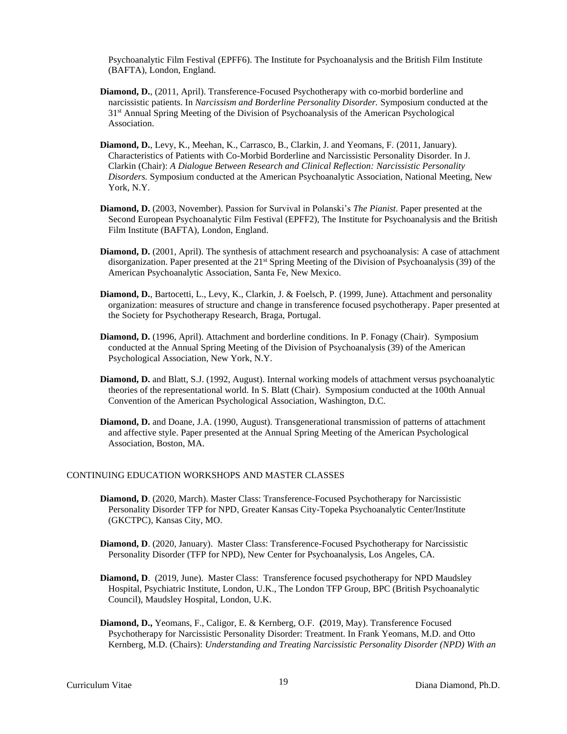Psychoanalytic Film Festival (EPFF6). The Institute for Psychoanalysis and the British Film Institute (BAFTA), London, England.

- **Diamond, D.**, (2011, April). Transference-Focused Psychotherapy with co-morbid borderline and narcissistic patients. In *Narcissism and Borderline Personality Disorder.* Symposium conducted at the 31st Annual Spring Meeting of the Division of Psychoanalysis of the American Psychological Association.
- **Diamond, D.**, Levy, K., Meehan, K., Carrasco, B., Clarkin, J. and Yeomans, F. (2011, January). Characteristics of Patients with Co-Morbid Borderline and Narcissistic Personality Disorder. In J. Clarkin (Chair): *A Dialogue Between Research and Clinical Reflection: Narcissistic Personality Disorders.* Symposium conducted at the American Psychoanalytic Association, National Meeting, New York, N.Y.
- **Diamond, D.** (2003, November). Passion for Survival in Polanski's *The Pianist*. Paper presented at the Second European Psychoanalytic Film Festival (EPFF2), The Institute for Psychoanalysis and the British Film Institute (BAFTA), London, England.
- **Diamond, D.** (2001, April). The synthesis of attachment research and psychoanalysis: A case of attachment disorganization. Paper presented at the 21<sup>st</sup> Spring Meeting of the Division of Psychoanalysis (39) of the American Psychoanalytic Association, Santa Fe, New Mexico.
- **Diamond, D.**, Bartocetti, L., Levy, K., Clarkin, J. & Foelsch, P. (1999, June). Attachment and personality organization: measures of structure and change in transference focused psychotherapy. Paper presented at the Society for Psychotherapy Research, Braga, Portugal.
- **Diamond, D.** (1996, April). Attachment and borderline conditions. In P. Fonagy (Chair). Symposium conducted at the Annual Spring Meeting of the Division of Psychoanalysis (39) of the American Psychological Association, New York, N.Y.
- **Diamond, D.** and Blatt, S.J. (1992, August). Internal working models of attachment versus psychoanalytic theories of the representational world. In S. Blatt (Chair). Symposium conducted at the 100th Annual Convention of the American Psychological Association, Washington, D.C.
- **Diamond, D.** and Doane, J.A. (1990, August). Transgenerational transmission of patterns of attachment and affective style. Paper presented at the Annual Spring Meeting of the American Psychological Association, Boston, MA.

## CONTINUING EDUCATION WORKSHOPS AND MASTER CLASSES

- **Diamond, D**. (2020, March). Master Class: Transference-Focused Psychotherapy for Narcissistic Personality Disorder TFP for NPD, Greater Kansas City-Topeka Psychoanalytic Center/Institute (GKCTPC), Kansas City, MO.
- **Diamond, D**. (2020, January). Master Class: Transference-Focused Psychotherapy for Narcissistic Personality Disorder (TFP for NPD), New Center for Psychoanalysis, Los Angeles, CA.
- **Diamond, D**. (2019, June). Master Class: Transference focused psychotherapy for NPD Maudsley Hospital, Psychiatric Institute, London, U.K., The London TFP Group, BPC (British Psychoanalytic Council), Maudsley Hospital, London, U.K.
- **Diamond, D.,** Yeomans, F., Caligor, E. & Kernberg, O.F. **(**2019, May). Transference Focused Psychotherapy for Narcissistic Personality Disorder: Treatment. In Frank Yeomans, M.D. and Otto Kernberg, M.D. (Chairs): *Understanding and Treating Narcissistic Personality Disorder (NPD) With an*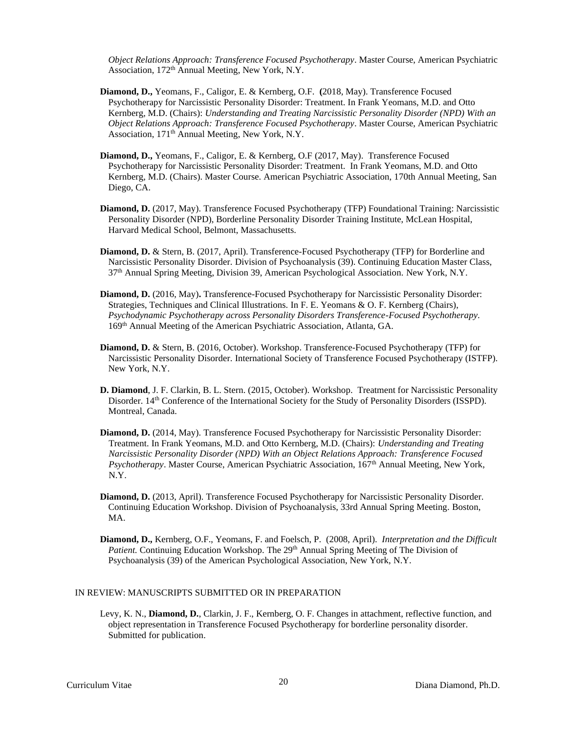*Object Relations Approach: Transference Focused Psychotherapy*. Master Course, American Psychiatric Association, 172<sup>th</sup> Annual Meeting, New York, N.Y.

- **Diamond, D.,** Yeomans, F., Caligor, E. & Kernberg, O.F. **(**2018, May). Transference Focused Psychotherapy for Narcissistic Personality Disorder: Treatment. In Frank Yeomans, M.D. and Otto Kernberg, M.D. (Chairs): *Understanding and Treating Narcissistic Personality Disorder (NPD) With an Object Relations Approach: Transference Focused Psychotherapy*. Master Course, American Psychiatric Association, 171<sup>th</sup> Annual Meeting, New York, N.Y.
- **Diamond, D.,** Yeomans, F., Caligor, E. & Kernberg, O.F (2017, May). Transference Focused Psychotherapy for Narcissistic Personality Disorder: Treatment. In Frank Yeomans, M.D. and Otto Kernberg, M.D. (Chairs). Master Course. American Psychiatric Association, 170th Annual Meeting, San Diego, CA.
- **Diamond, D.** (2017, May). Transference Focused Psychotherapy (TFP) Foundational Training: Narcissistic Personality Disorder (NPD), Borderline Personality Disorder Training Institute, McLean Hospital, Harvard Medical School, Belmont, Massachusetts.
- **Diamond, D.** & Stern, B. (2017, April). Transference-Focused Psychotherapy (TFP) for Borderline and Narcissistic Personality Disorder. Division of Psychoanalysis (39). Continuing Education Master Class, 37th Annual Spring Meeting, Division 39, American Psychological Association. New York, N.Y.
- **Diamond, D.** (2016, May)**.** Transference-Focused Psychotherapy for Narcissistic Personality Disorder: Strategies, Techniques and Clinical Illustrations. In F. E. Yeomans & O. F. Kernberg (Chairs), *Psychodynamic Psychotherapy across Personality Disorders Transference-Focused Psychotherapy*. 169th Annual Meeting of the American Psychiatric Association, Atlanta, GA.
- **Diamond, D.** & Stern, B. (2016, October). Workshop. Transference-Focused Psychotherapy (TFP) for Narcissistic Personality Disorder. International Society of Transference Focused Psychotherapy (ISTFP). New York, N.Y.
- **D. Diamond**, J. F. Clarkin, B. L. Stern. (2015, October). Workshop. Treatment for Narcissistic Personality Disorder. 14th Conference of the International Society for the Study of Personality Disorders (ISSPD). Montreal, Canada.
- **Diamond, D.** (2014, May). Transference Focused Psychotherapy for Narcissistic Personality Disorder: Treatment. In Frank Yeomans, M.D. and Otto Kernberg, M.D. (Chairs): *Understanding and Treating Narcissistic Personality Disorder (NPD) With an Object Relations Approach: Transference Focused Psychotherapy*. Master Course, American Psychiatric Association, 167th Annual Meeting, New York, N.Y.
- **Diamond, D.** (2013, April). Transference Focused Psychotherapy for Narcissistic Personality Disorder. Continuing Education Workshop. Division of Psychoanalysis, 33rd Annual Spring Meeting. Boston, MA.
- **Diamond, D.,** Kernberg, O.F., Yeomans, F. and Foelsch, P. (2008, April). *Interpretation and the Difficult Patient.* Continuing Education Workshop. The 29<sup>th</sup> Annual Spring Meeting of The Division of Psychoanalysis (39) of the American Psychological Association, New York, N.Y.

# IN REVIEW: MANUSCRIPTS SUBMITTED OR IN PREPARATION

Levy, K. N., **Diamond, D.**, Clarkin, J. F., Kernberg, O. F. Changes in attachment, reflective function, and object representation in Transference Focused Psychotherapy for borderline personality disorder. Submitted for publication.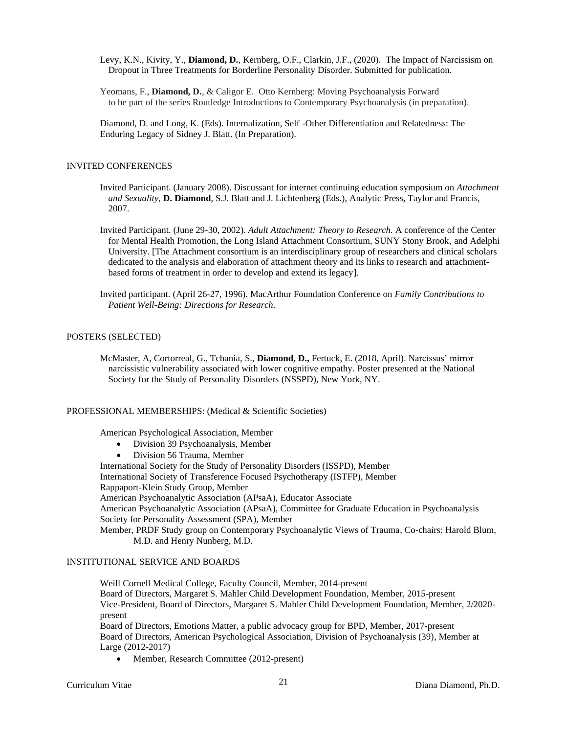- Levy, K.N., Kivity, Y., **Diamond, D.**, Kernberg, O.F., Clarkin, J.F., (2020). The Impact of Narcissism on Dropout in Three Treatments for Borderline Personality Disorder. Submitted for publication.
- Yeomans, F., **Diamond, D.**, & Caligor E. Otto Kernberg: Moving Psychoanalysis Forward to be part of the series Routledge Introductions to Contemporary Psychoanalysis (in preparation).

Diamond, D. and Long, K. (Eds). Internalization, Self -Other Differentiation and Relatedness: The Enduring Legacy of Sidney J. Blatt. (In Preparation).

#### INVITED CONFERENCES

- Invited Participant. (January 2008). Discussant for internet continuing education symposium on *Attachment and Sexuality*, **D. Diamond**, S.J. Blatt and J. Lichtenberg (Eds.), Analytic Press, Taylor and Francis, 2007.
- Invited Participant. (June 29-30, 2002). *Adult Attachment: Theory to Research.* A conference of the Center for Mental Health Promotion, the Long Island Attachment Consortium, SUNY Stony Brook, and Adelphi University. [The Attachment consortium is an interdisciplinary group of researchers and clinical scholars dedicated to the analysis and elaboration of attachment theory and its links to research and attachmentbased forms of treatment in order to develop and extend its legacy].
- Invited participant. (April 26-27, 1996). MacArthur Foundation Conference on *Family Contributions to Patient Well-Being: Directions for Research.*

# POSTERS (SELECTED)

McMaster, A, Cortorreal, G., Tchania, S., **Diamond, D.,** Fertuck, E. (2018, April). Narcissus' mirror narcissistic vulnerability associated with lower cognitive empathy. Poster presented at the National Society for the Study of Personality Disorders (NSSPD), New York, NY.

#### PROFESSIONAL MEMBERSHIPS: (Medical & Scientific Societies)

American Psychological Association, Member

- Division 39 Psychoanalysis, Member
- Division 56 Trauma, Member

International Society for the Study of Personality Disorders (ISSPD), Member

International Society of Transference Focused Psychotherapy (ISTFP), Member

Rappaport-Klein Study Group, Member

American Psychoanalytic Association (APsaA), Educator Associate

American Psychoanalytic Association (APsaA), Committee for Graduate Education in Psychoanalysis Society for Personality Assessment (SPA), Member

Member, PRDF Study group on Contemporary Psychoanalytic Views of Trauma, Co-chairs: Harold Blum, M.D. and Henry Nunberg, M.D.

# INSTITUTIONAL SERVICE AND BOARDS

Weill Cornell Medical College, Faculty Council, Member, 2014-present Board of Directors, Margaret S. Mahler Child Development Foundation, Member, 2015-present Vice-President, Board of Directors, Margaret S. Mahler Child Development Foundation, Member, 2/2020 present Board of Directors, Emotions Matter, a public advocacy group for BPD, Member, 2017-present

Board of Directors, American Psychological Association, Division of Psychoanalysis (39), Member at Large (2012-2017)

• Member, Research Committee (2012-present)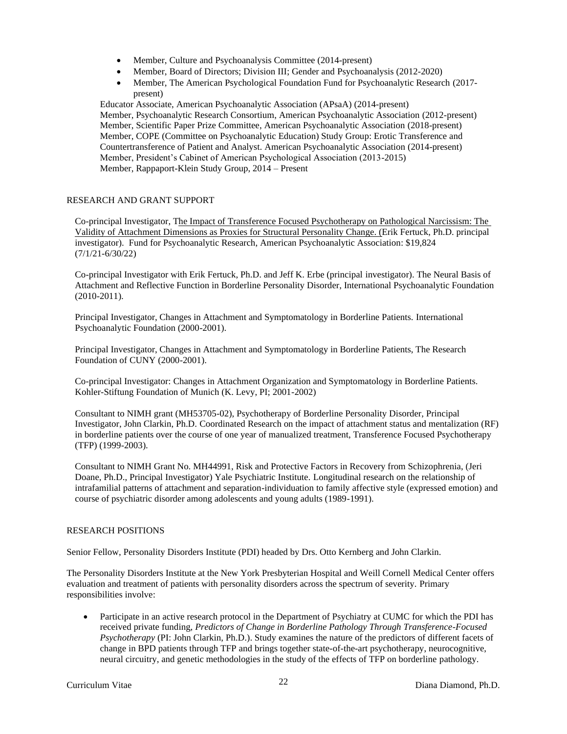- Member, Culture and Psychoanalysis Committee (2014-present)
- Member, Board of Directors; Division III; Gender and Psychoanalysis (2012-2020)
- Member, The American Psychological Foundation Fund for Psychoanalytic Research (2017present)

Educator Associate, American Psychoanalytic Association (APsaA) (2014-present) Member, Psychoanalytic Research Consortium, American Psychoanalytic Association (2012-present) Member, Scientific Paper Prize Committee, American Psychoanalytic Association (2018-present) Member, COPE (Committee on Psychoanalytic Education) Study Group: Erotic Transference and Countertransference of Patient and Analyst. American Psychoanalytic Association (2014-present) Member, President's Cabinet of American Psychological Association (2013-2015) Member, Rappaport-Klein Study Group, 2014 – Present

# RESEARCH AND GRANT SUPPORT

Co-principal Investigator, The Impact of Transference Focused Psychotherapy on Pathological Narcissism: The Validity of Attachment Dimensions as Proxies for Structural Personality Change. (Erik Fertuck, Ph.D. principal investigator). Fund for Psychoanalytic Research, American Psychoanalytic Association: \$19,824 (7/1/21-6/30/22)

Co-principal Investigator with Erik Fertuck, Ph.D. and Jeff K. Erbe (principal investigator). The Neural Basis of Attachment and Reflective Function in Borderline Personality Disorder, International Psychoanalytic Foundation (2010-2011).

Principal Investigator, Changes in Attachment and Symptomatology in Borderline Patients. International Psychoanalytic Foundation (2000-2001).

Principal Investigator, Changes in Attachment and Symptomatology in Borderline Patients, The Research Foundation of CUNY (2000-2001).

Co-principal Investigator: Changes in Attachment Organization and Symptomatology in Borderline Patients. Kohler-Stiftung Foundation of Munich (K. Levy, PI; 2001-2002)

Consultant to NIMH grant (MH53705-02), Psychotherapy of Borderline Personality Disorder, Principal Investigator, John Clarkin, Ph.D. Coordinated Research on the impact of attachment status and mentalization (RF) in borderline patients over the course of one year of manualized treatment, Transference Focused Psychotherapy (TFP) (1999-2003).

Consultant to NIMH Grant No. MH44991, Risk and Protective Factors in Recovery from Schizophrenia, (Jeri Doane, Ph.D., Principal Investigator) Yale Psychiatric Institute. Longitudinal research on the relationship of intrafamilial patterns of attachment and separation-individuation to family affective style (expressed emotion) and course of psychiatric disorder among adolescents and young adults (1989-1991).

## RESEARCH POSITIONS

Senior Fellow, Personality Disorders Institute (PDI) headed by Drs. Otto Kernberg and John Clarkin.

The Personality Disorders Institute at the New York Presbyterian Hospital and Weill Cornell Medical Center offers evaluation and treatment of patients with personality disorders across the spectrum of severity. Primary responsibilities involve:

• Participate in an active research protocol in the Department of Psychiatry at CUMC for which the PDI has received private funding, *Predictors of Change in Borderline Pathology Through Transference-Focused Psychotherapy* (PI: John Clarkin, Ph.D.). Study examines the nature of the predictors of different facets of change in BPD patients through TFP and brings together state-of-the-art psychotherapy, neurocognitive, neural circuitry, and genetic methodologies in the study of the effects of TFP on borderline pathology.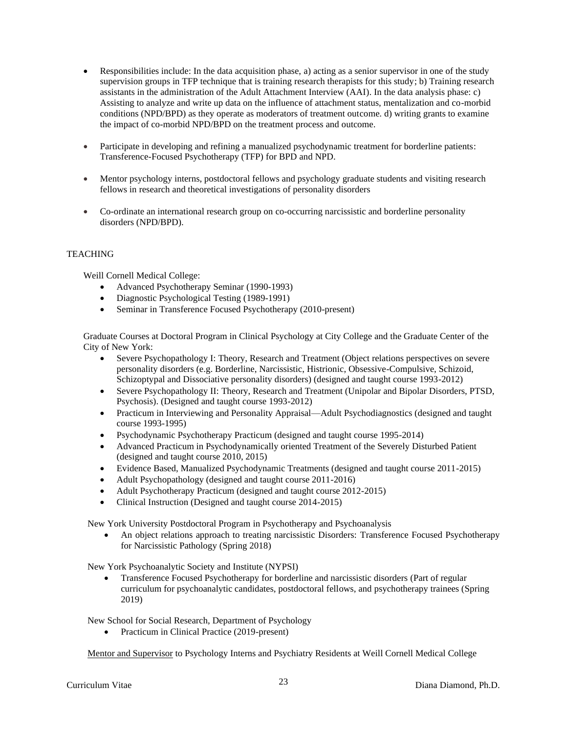- Responsibilities include: In the data acquisition phase, a) acting as a senior supervisor in one of the study supervision groups in TFP technique that is training research therapists for this study; b) Training research assistants in the administration of the Adult Attachment Interview (AAI). In the data analysis phase: c) Assisting to analyze and write up data on the influence of attachment status, mentalization and co-morbid conditions (NPD/BPD) as they operate as moderators of treatment outcome. d) writing grants to examine the impact of co-morbid NPD/BPD on the treatment process and outcome.
- Participate in developing and refining a manualized psychodynamic treatment for borderline patients: Transference-Focused Psychotherapy (TFP) for BPD and NPD.
- Mentor psychology interns, postdoctoral fellows and psychology graduate students and visiting research fellows in research and theoretical investigations of personality disorders
- Co-ordinate an international research group on co-occurring narcissistic and borderline personality disorders (NPD/BPD).

# **TEACHING**

Weill Cornell Medical College:

- Advanced Psychotherapy Seminar (1990-1993)
- Diagnostic Psychological Testing (1989-1991)
- Seminar in Transference Focused Psychotherapy (2010-present)

Graduate Courses at Doctoral Program in Clinical Psychology at City College and the Graduate Center of the City of New York:

- Severe Psychopathology I: Theory, Research and Treatment (Object relations perspectives on severe personality disorders (e.g. Borderline, Narcissistic, Histrionic, Obsessive-Compulsive, Schizoid, Schizoptypal and Dissociative personality disorders) (designed and taught course 1993-2012)
- Severe Psychopathology II: Theory, Research and Treatment (Unipolar and Bipolar Disorders, PTSD, Psychosis). (Designed and taught course 1993-2012)
- Practicum in Interviewing and Personality Appraisal—Adult Psychodiagnostics (designed and taught course 1993-1995)
- Psychodynamic Psychotherapy Practicum (designed and taught course 1995-2014)
- Advanced Practicum in Psychodynamically oriented Treatment of the Severely Disturbed Patient (designed and taught course 2010, 2015)
- Evidence Based, Manualized Psychodynamic Treatments (designed and taught course 2011-2015)
- Adult Psychopathology (designed and taught course 2011-2016)
- Adult Psychotherapy Practicum (designed and taught course 2012-2015)
- Clinical Instruction (Designed and taught course 2014-2015)

New York University Postdoctoral Program in Psychotherapy and Psychoanalysis

• An object relations approach to treating narcissistic Disorders: Transference Focused Psychotherapy for Narcissistic Pathology (Spring 2018)

New York Psychoanalytic Society and Institute (NYPSI)

• Transference Focused Psychotherapy for borderline and narcissistic disorders (Part of regular curriculum for psychoanalytic candidates, postdoctoral fellows, and psychotherapy trainees (Spring 2019)

New School for Social Research, Department of Psychology

• Practicum in Clinical Practice (2019-present)

Mentor and Supervisor to Psychology Interns and Psychiatry Residents at Weill Cornell Medical College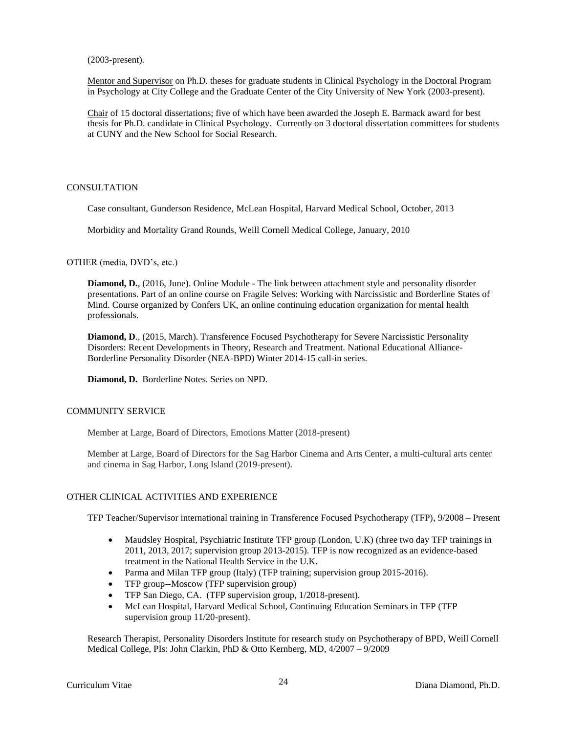(2003-present).

Mentor and Supervisor on Ph.D. theses for graduate students in Clinical Psychology in the Doctoral Program in Psychology at City College and the Graduate Center of the City University of New York (2003-present).

Chair of 15 doctoral dissertations; five of which have been awarded the Joseph E. Barmack award for best thesis for Ph.D. candidate in Clinical Psychology. Currently on 3 doctoral dissertation committees for students at CUNY and the New School for Social Research.

## **CONSULTATION**

Case consultant, Gunderson Residence, McLean Hospital, Harvard Medical School, October, 2013

Morbidity and Mortality Grand Rounds, Weill Cornell Medical College, January, 2010

OTHER (media, DVD's, etc.)

**Diamond, D.**, (2016, June). Online Module - The link between attachment style and personality disorder presentations. Part of an online course on Fragile Selves: Working with Narcissistic and Borderline States of Mind. Course organized by Confers UK, an online continuing education organization for mental health professionals.

**Diamond, D**., (2015, March). Transference Focused Psychotherapy for Severe Narcissistic Personality Disorders: Recent Developments in Theory, Research and Treatment. National Educational Alliance-Borderline Personality Disorder (NEA-BPD) Winter 2014-15 call-in series.

**Diamond, D.** Borderline Notes. Series on NPD.

# COMMUNITY SERVICE

Member at Large, Board of Directors, Emotions Matter (2018-present)

Member at Large, Board of Directors for the Sag Harbor Cinema and Arts Center, a multi-cultural arts center and cinema in Sag Harbor, Long Island (2019-present).

# OTHER CLINICAL ACTIVITIES AND EXPERIENCE

TFP Teacher/Supervisor international training in Transference Focused Psychotherapy (TFP), 9/2008 – Present

- Maudsley Hospital, Psychiatric Institute TFP group (London, U.K) (three two day TFP trainings in 2011, 2013, 2017; supervision group 2013-2015). TFP is now recognized as an evidence-based treatment in the National Health Service in the U.K.
- Parma and Milan TFP group (Italy) (TFP training; supervision group 2015-2016).
- TFP group--Moscow (TFP supervision group)
- TFP San Diego, CA. (TFP supervision group, 1/2018-present).
- McLean Hospital, Harvard Medical School, Continuing Education Seminars in TFP (TFP supervision group 11/20-present).

Research Therapist, Personality Disorders Institute for research study on Psychotherapy of BPD, Weill Cornell Medical College, PIs: John Clarkin, PhD & Otto Kernberg, MD, 4/2007 – 9/2009